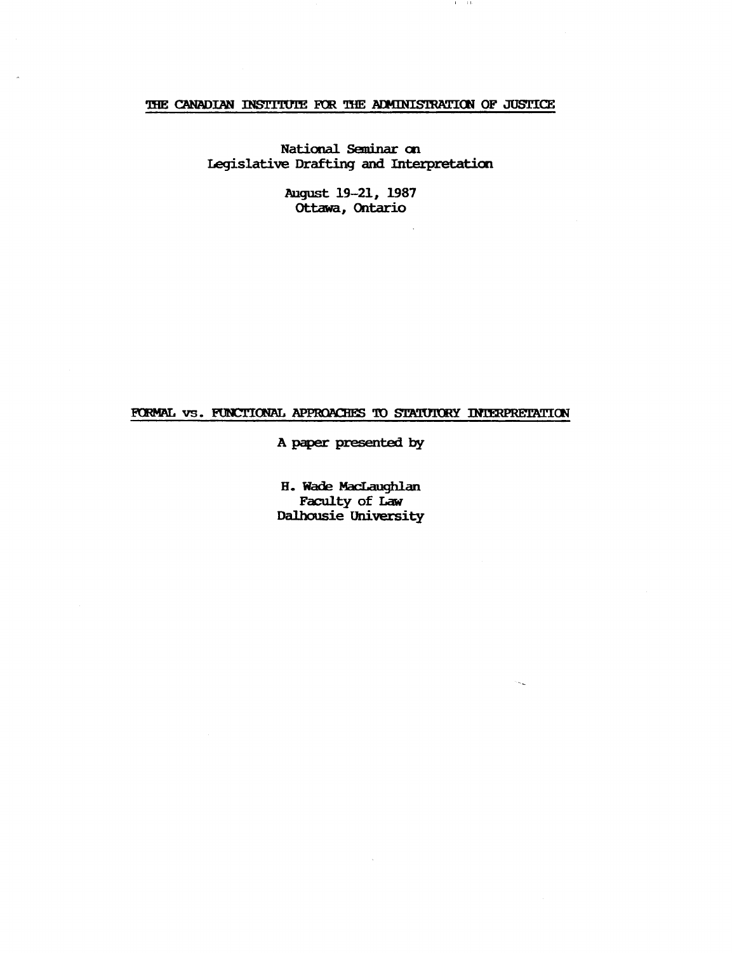# THE CANADIAN INSTITUTE FOR THE ADMINISTRATION OF JUSTICE

 $4 - 11$ 

National Seminar on Legislative Drafting and Interpretation

> August 19-21, 1987 Ottawa, Ontario

# FORMAL VS. FUNCTIONAL APPROACHES TO STATUTORY INTERPRETATION

A paper presented by

H. Wade MacLaughlan Faculty of Law Dalhousie University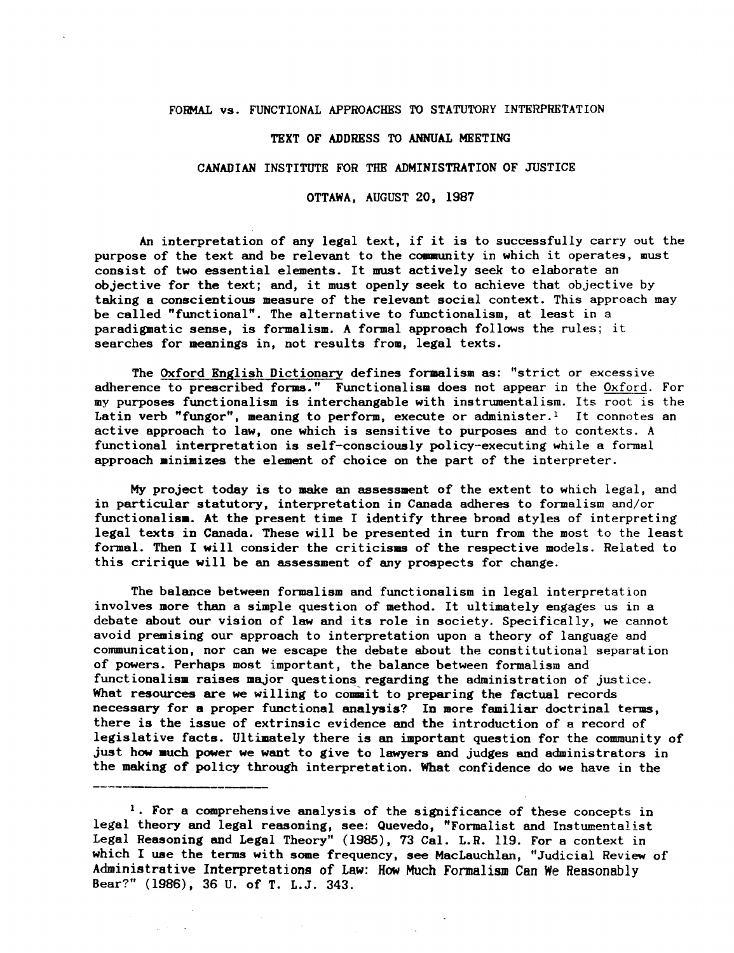## FORMAL vs. FUNCTIONAL APPROACHES TO STATUTORY INTERPRETATION

#### TEXT OF ADDRESS TO ANNUAL MEETING

#### CANADIAN INSTITUTE FOR THE ADMINISTRATION OF JUSTICE

OTTAWA, AUGUST 20, 1987

An interpretation of any legal text, if it is to successfully carry out the purpose of the text and be relevant to the community in which it operates, must consist of two essential elements. It must actively seek to elaborate an objective for the text; and, it must openly seek to achieve that objective by taking a conscientious measure of the relevant social context. This approach may be called "functional". The alternative to functionalism, at least in a paradigmatic sense, is formalism. A formal approach follows the rules; it searches for meanings in, not results from, legal texts.

The Oxford English Dictionary defines formalism as: "strict or excessive adherence to prescribed forms." Functionalism does not appear in the Oxford. For my purposes functionalism is interchangable with instrumentalism. Its root is the Latin verb "fungor", meaning to perform, execute or administer.<sup>1</sup> It connotes an active approach to law, one which is sensitive to purposes and to contexts. A functional interpretation is self-consciously policy-executing while a formal approach minimizes the element of choice on the part of the interpreter.

My project today is to make an assessment of the extent to which legal, and in particular statutory, interpretation in Canada adheres to formalism and/or functionalism. At the present time I identify three broad styles of interpreting legal texts in Canada. These will be presented in turn from the most to the least formal. Then I will consider the criticisms of the respective models. Related to this cririque will be an assessment of any prospects for change.

The balance between formalism and functionalism in legal interpretation involves more than a simple question of method. It ultimately engages us in a debate about our vision of law and its role in society. Specifically, we cannot avoid premising our approach to interpretation upon a theory of language and communication, nor can we escape the debate about the constitutional separation of powers. Perhaps most important, the balance between formalism and functionalism raises major questions regarding the administration of justice. What resources are we willing to commait to preparing the factual records necessary for a proper functional analysis? In more familiar doctrinal terms, there is the issue of extrinsic evidence and the introduction of a record of legislative facts. Ultimately there is an important question for the community of just how much power we want to give to lawyers and judges and administrators in the making of policy through interpretation. What confidence do we have in the

<sup>&</sup>lt;sup>1</sup>. For a comprehensive analysis of the significance of these concepts in legal theory and legal reasoning, see: Quevedo, "Formalist and Instumentalist Legal Reasoning and Legal Theory" (1985), 73 Cal. L.R. 119. For a context in which I use the terms with some frequency, see MacLauchlan, "Judicial Review of Administrative Interpretations of Law: How Much Formalism Can We Reasonably Bear?" (1986), 36 U. of T. L.J. 343.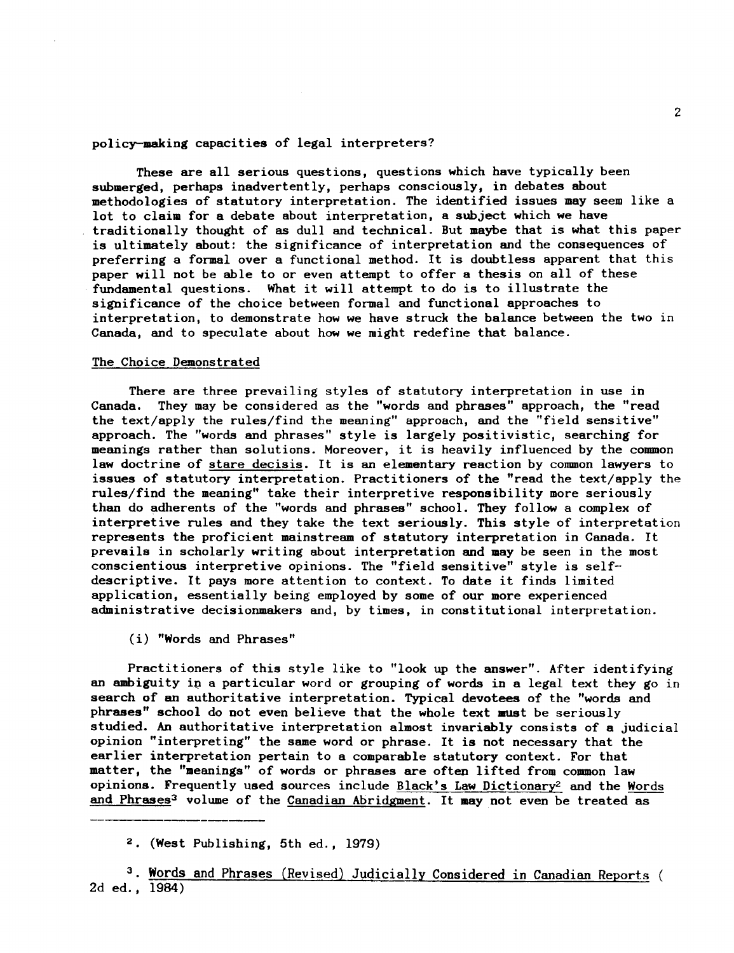## policy-making capacities of legal interpreters?

These are all serious questions, questions which have typically been submerged, perhaps inadvertently, perhaps consciously, in debates about methodologies of statutory interpretation. The identified issues may seem like a lot to claim for a debate about interpretation, a subject which we have traditionally thought of as dull and technical. But maybe that is what this paper is ultimately about: the significance of interpretation and the consequences of preferring a formal over a functional method. It is doubtless apparent that this paper will not be able to or even attempt to offer a thesis on all of these fundamental questions. What it will attempt to do is to illustrate the significance of the choice between formal and functional approaches to interpretation, to demonstrate how we have struck the balance between the two in Canada, and to speculate about how we might redefine that balance.

#### The Choice Demonstrated

There are three prevailing styles of statutory interpretation in use in Canada. They may be considered as the "words and phrases" approach, the "read the text/apply the rules/find the meaning" approach, and the "field sensitive" approach. The "words and phrases" style is largely positivistic, searching for meanings rather than solutions. Moreover, it is heavily influenced by the common law doctrine of stare decisis. It is an elementary reaction by common lawyers to issues of statutory interpretation. Practitioners of the "read the text/apply the rules/find the meaning" take their interpretive responsibility more seriously than do adherents of the "words and phrases" school. They follow a complex of interpretive rules and they take the text seriously. This style of interpretation represents the proficient mainstream of statutory interpretation in Canada. It prevails in scholarly writing about interpretation and may be seen in the most conscientious interpretive opinions. The "field sensitive" style is selfdescriptive. It pays more attention to context. To date it finds limited application, essentially being employed by some of our more experienced administrative decisionmakers and, by times, in constitutional interpretation.

(i) "Words and Phrases"

Practitioners of this style like to "look up the answer". After identifying an ambiguity in a particular word or grouping of words in a legal text they go in search of an authoritative interpretation. Typical devotees of the "words and phrases" school do not even believe that the whole text must be seriously studied. An authoritative interpretation almost invariably consists of a judicial opinion "interpreting" the same word or phrase. It is not necessary that the earlier interpretation pertain to a comparable statutory context. For that matter, the "meanings" of words or phrases are often lifted from common law opinions. Frequently used sources include Black's Law Dictionary2 and the Words and Phrases<sup>3</sup> volume of the Canadian Abridgment. It may not even be treated as

<sup>2 (</sup>West Publishing, 5th ed., 1979)

<sup>&</sup>lt;sup>3</sup>. Words and Phrases (Revised) Judicially Considered in Canadian Reports ( 2d ed., 1984)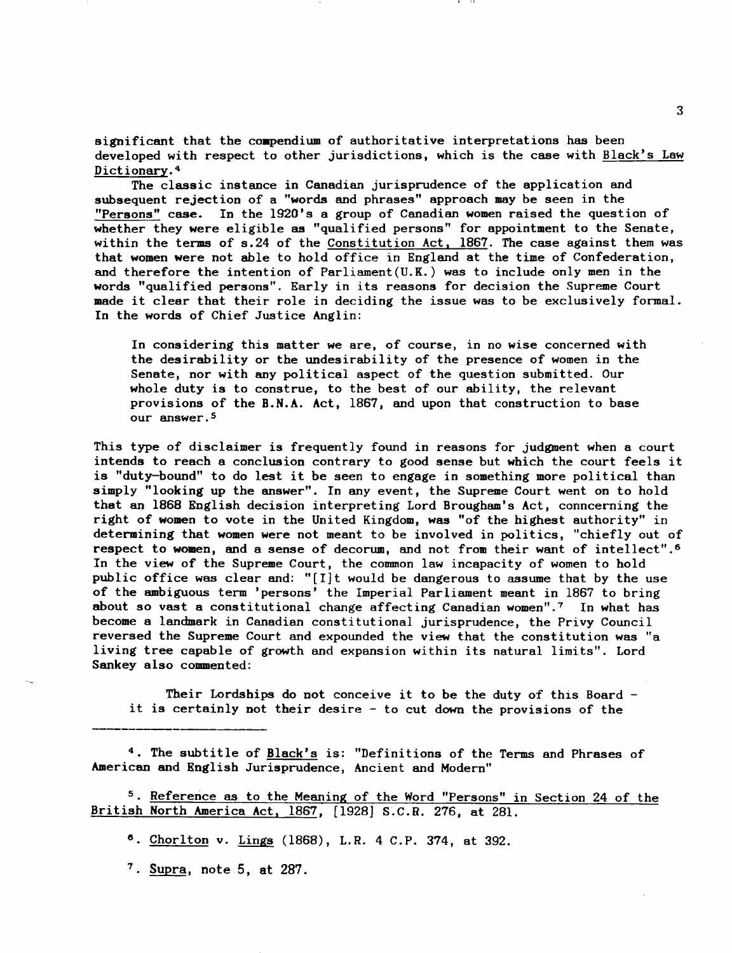significant that the compendium of authoritative interpretations has been developed with respect to other jurisdictions, which is the case with Black's Law Dictionary. <sup>4</sup>

The classic instance in Canadian jurisprudence of the application and subsequent rejection of a "words and phrases" approach may be seen in the "Persons" case. In the 1920's a group of Canadian women raised the question of whether they were eligible as "qualified persons" for appointment to the Senate, within the terms of s.24 of the Constitution Act, 1867. The case against them was that women were not able to hold office in England at the time of Confederation, and therefore the intention of Parliament(U.K.) was to include only men in the words "qualified persons". Early in its reasons for decision the Supreme Court made it clear that their role in deciding the issue was to be exclusively formal. In the words of Chief Justice Anglin:

In considering this matter we are, of course, in no wise concerned with the desirability or the undesirability of the presence of women in the Senate, nor with any political aspect of the question submitted. Our whole duty is to construe, to the best of our ability, the relevant provisions of the B.N.A. Act, 1867, and upon that construction to base our answer. 5

This type of disclaimer is frequently found in reasons for judgment when a court intends to reach a conclusion contrary to good sense but which the court feels it is "duty-bound" to do lest it be seen to engage in something more political than simply "looking up the answer". In any event, the Supreme Court went on to hold that an 1868 English decision interpreting Lord Brougham's Act, conncerning the right of women to vote in the United Kingdom, was "of the highest authority" in determining that women were not meant to be involved in politics, "chiefly out of respect to women, and a sense of decorum, and not from their want of intellect".6 In the view of the Supreme Court, the common law incapacity of women to hold public office was clear and: "[IJt would be dangerous to assume that by the use of the ambiguous term 'persons' the Imperial Parliament meant in 1867 to bring about so vast a constitutional change affecting Canadian women".7 In what has become a landmark in Canadian constitutional jurisprudence, the Privy Council reversed the Supreme Court and expounded the view that the constitution was "a living tree capable of growth and expansion within its natural limits". Lord Sankey also commented:

Their Lordships do not conceive it to be the duty of this Board it is certainly not their desire - to cut down the provisions of the

<sup>4</sup>. The subtitle of Black's is: "Definitions of the Terms and Phrases of American and English Jurisprudence, Ancient and Modern"

<sup>5</sup>. Reference as to the Meaning of the Word "Persons" in Section 24 of the British North America Act, 1867, [1928] S.C.R. 276, at 281.

<sup>6</sup>. Chorlton v. Lings (1868), L.R. 4 C.P. 374, at 392.

 $7.$  Supra, note 5, at 287.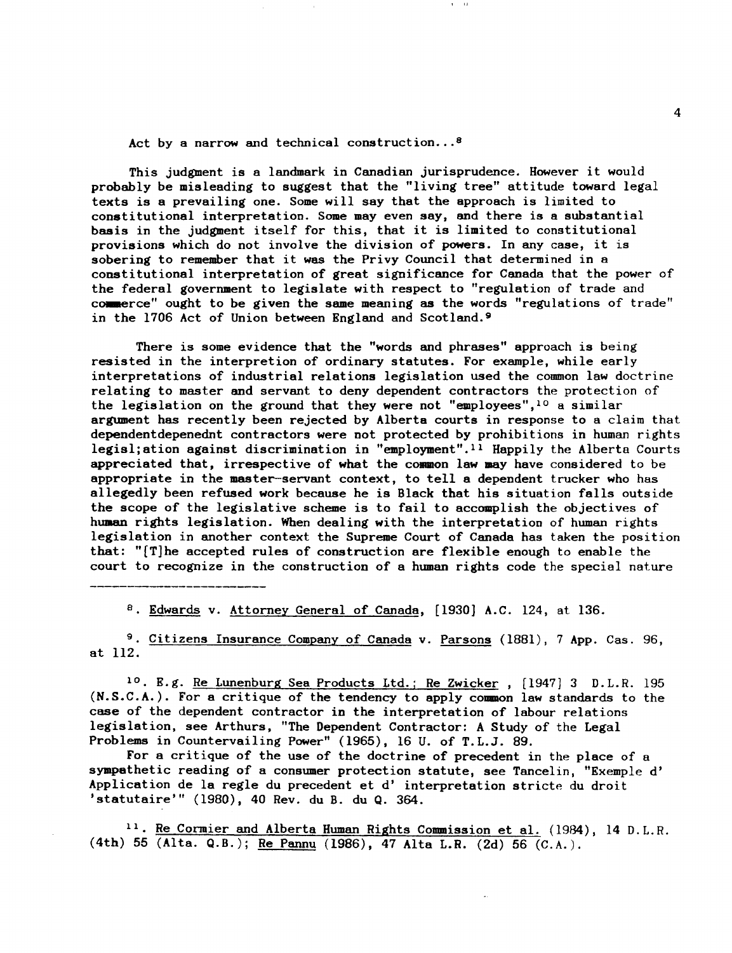Act by a narrow and technical construction... <sup>8</sup>

This judgment is a landmark in Canadian jurisprudence. However it would probably be misleading to suggest that the "living tree" attitude toward legal texts is a prevailing one. Some will say that the approach is limited to constitutional interpretation. Some may even say, and there is a substantial basis in the judgment itself for this, that it is limited to constitutional provisions which do not involve the division of powers. In any case, it is sobering to remember that it was the Privy Council that determined in a constitutional interpretation of great significance for Canada that the power of the federal government to legislate with respect to "regulation of trade and commerce" ought to be given the same meaning as the words "regulations of trade" in the 1706 Act of Union between England and Scotland. 9

 $1 - 14$ 

There is some evidence that the "words and phrases" approach is being resisted in the interpretion of ordinary statutes. For example, while early interpretations of industrial relations legislation used the common law doctrine relating to master and servant to deny dependent contractors the protection of the legislation on the ground that they were not "employees",<sup>10</sup> a similar argument has recently been rejected by Alberta courts in response to a claim that dependentdepenednt contractors were not protected by prohibitions in human rights legisl; ation against discrimination in "employment".<sup>11</sup> Happily the Alberta Courts appreciated that, irrespective of what the common law may have considered to be appropriate in the master-servant context, to tell a dependent trucker who has allegedly been refused work because he is Black that his situation falls outside the scope of the legislative scheme is to fail to accomplish the objectives of human rights legislation. When dealing with the interpretation of human rights legislation in another context the Supreme Court of Canada has taken the position that: "[T]he accepted rules of construction are flexible enough to enable the court to recognize in the construction of a human rights code the special nature

8. Edwards v. Attorney General of Canada, [1930] A.C. 124, at 136.

<sup>9</sup>. Citizens Insurance Company of Canada v. Parsons (1881), 7 App. Cas. 96, at 112.

<sup>10</sup>. E.g. <u>Re Lunenburg Sea</u> Products Ltd.; Re Zwicker, [1947] 3 D.L.R. 195 (N.S.C.A.). For a critique of the tendency to apply common law standards to the case of the dependent contractor in the interpretation of labour relations legislation, see Arthurs, "The Dependent Contractor: A Study of the Legal Problems in Countervailing Power" (1965), 16 U. of T.L.3. 89.

For a critique of the use of the doctrine of precedent in the place of a sympathetic reading of a consumer protection statute, see Tancelin, "Exemple d' Application de la regIe du precedent et d' interpretation stricte du droit 'statutaire'" (1980), 40 Rev. du B. du Q. 364.

<sup>11</sup>. Re Cormier and Alberta Human Rights Commission et al. (1984), 14 D. L. R. (4th) 55 (Alta. Q.B.); Re Pannu (1986), 47 Alta L.R. (2d) 56 (C.A.).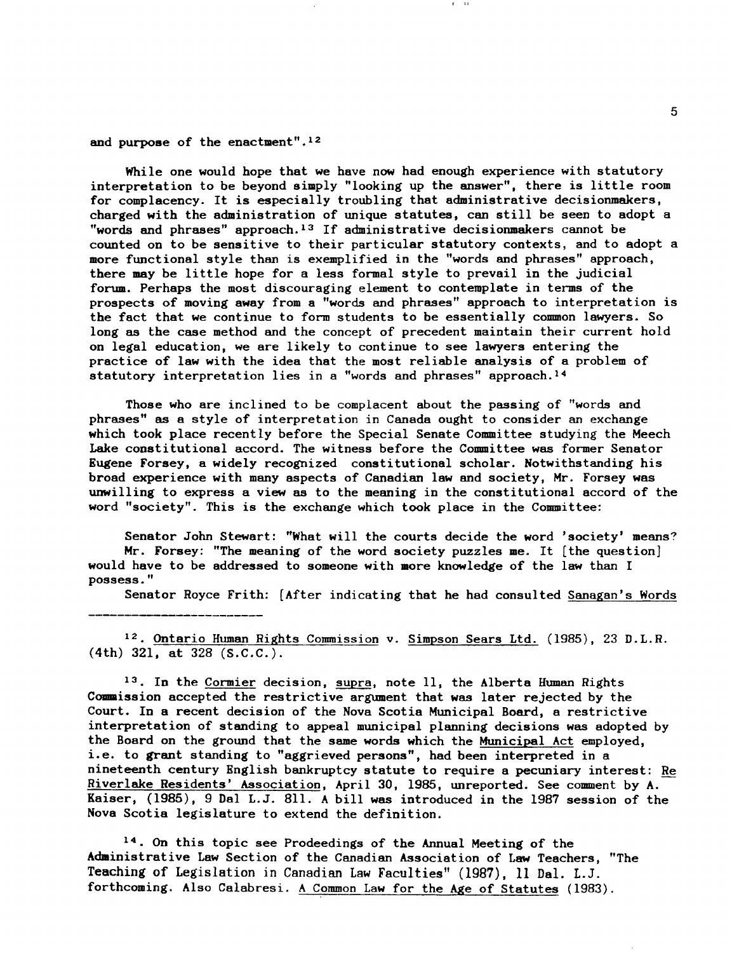and purpose of the enactment".12

While one would hope that we have now had enough experience with statutory interpretation to be beyond simply "looking up the answer", there is little room for complacency. It is especially troubling that administrative decisionmakers, charged with the administration of unique statutes, can still be seen to adopt a "words and phrases" approach. 13 If administrative decisionmakers cannot be counted on to be sensitive to their particular statutory contexts, and to adopt a more functional style than is exemplified in the "words and phrases" approach, there may be little hope for a less formal style to prevail in the judicial forum. Perhaps the most discouraging element to contemplate in terms of the prospects of moving away from a "words and phrases" approach to interpretation is the fact that we continue to form students to be essentially common lawyers. So long as the case method and the concept of precedent maintain their current hold on legal education, we are likely to continue to see lawyers entering the practice of law with the idea that the most reliable analysis of a problem of statutory interpretation lies in a "words and phrases" approach.<sup>14</sup>

Those who are inclined to be complacent about the passing of "words and phrases" as a style of interpretation in Canada ought to consider an exchange which took place recently before the Special Senate Committee studying the Meech Lake constitutional accord. The witness before the Committee was former Senator Eugene Forsey, a widely recognized constitutional scholar. Notwithstanding his broad experience with many aspects of Canadian law and society, Mr. Forsey was unwilling to express a view as to the meaning in the constitutional accord of the word "society". This is the exchange which took place in the Committee:

Senator John Stewart: "What will the courts decide the word 'society' means? Mr. Forsey: "The meaning of the word society puzzles me. It [the question] would have to be addressed to someone with more knowledge of the law than I possess."

Senator Royce Frith: [After indicating that he had consulted Sanagan's Words

<sup>12</sup>. Ontario Human Rights Commission v. Simpson Sears Ltd. (1985), 23 D.L.R. (4th) 321, at 328 (S.C.C.).

13. In the Cormier decision, supra, note II, the Alberta Human Rights Commission accepted the restrictive argument that was later rejected by the Court. In a recent decision of the Nova Scotia Municipal Board, a restrictive interpretation of standing to appeal municipal planning decisions was adopted by the Board on the ground that the same words which the Municipal Act employed, i. e. to grant standing to "aggrieved persons", had been interpreted in a nineteenth century English bankruptcy statute to require a pecuniary interest: Re Riverlake Residents' Association, April 30, 1985, unreported. See comment by A. Kaiser, (1985), 9Dal L.J. 811. A bill was introduced in the 1987 session of the Nova Scotia legislature to extend the definition.

14. On this topic see Prodeedings of the Annual Meeting of the Administrative Law Section of the Canadian Association of Law Teachers, "The Teaching of Legislation in Canadian Law Faculties" (1987), 11 Dal. L.J. forthcoming. Also Calabresi. A Common Law for the Age of Statutes (1983).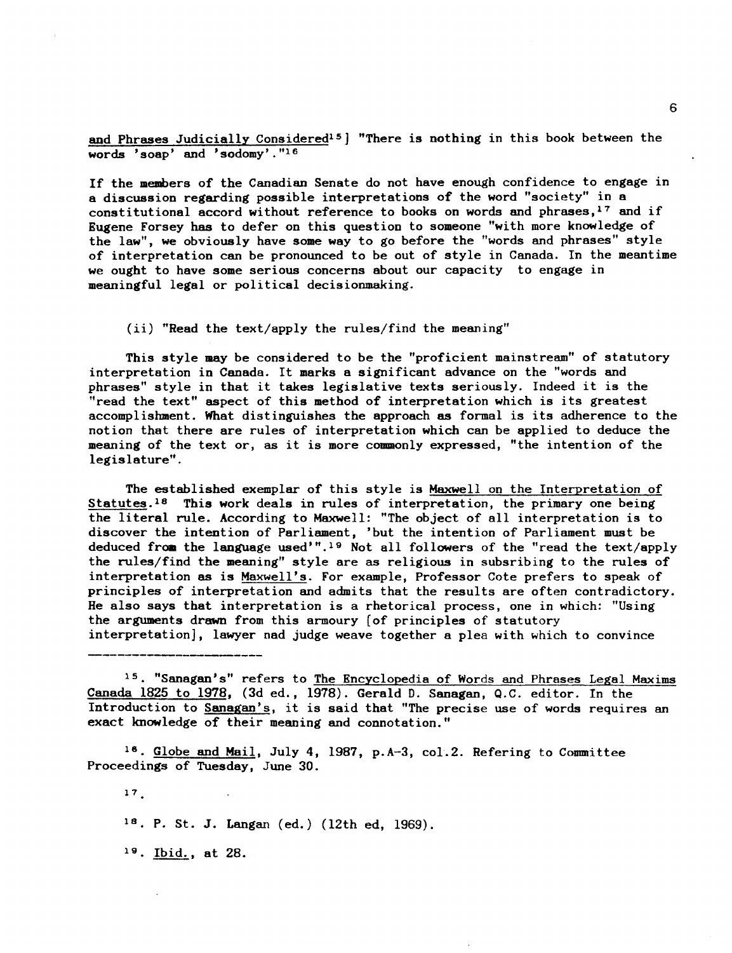and Phrases Judicially Considered<sup>15</sup> ] "There is nothing in this book between the words 'soap' and 'sodomy'."16

If the members of the Canadian Senate do not have enough confidence to engage in a discussion regarding possible interpretations of the word "society" in a constitutional accord without reference to books on words and phrases,<sup>17</sup> and if Eugene Forsey has to defer on this question to someone "with more knowledge of the law", we obviously have some way to go before the "words and phrases" style of interpretation can be pronounced to be out of style in Canada. In the meantime we ought to have some serious concerns about our capacity to engage in meaningful legal or political decisionmaking.

(ii) "Read the text/apply the rules/find the meaning"

This style may be considered to be the "proficient mainstream" of statutory interpretation in Canada. It marks a significant advance on the "words and phrases" style in that it takes legislative texts seriously. Indeed it is the "read the text" aspect of this method of interpretation which is its greatest accomplishment. What distinguishes the approach as formal is its adherence to the notion that there are rules of interpretation which can be applied to deduce the meaning of the text or, as it is more commonly expressed, "the intention of the legislature".

The established exemplar of this style is Maxwell on the Interpretation of Statutes.<sup>18</sup> This work deals in rules of interpretation, the primary one being the literal rule. According to Maxwell: "The object of all interpretation is to discover the intention of Parliament, 'but the intention of Parliament must be deduced from the language used'".<sup>19</sup> Not all followers of the "read the text/apply the rules/find the meaning" style are as religious in subsribing to the rules of interpretation as is Maxwell's. For example, Professor Cote prefers to speak of principles of interpretation and admits that the results are often contradictory. He also says that interpretation is a rhetorical process, one in which: "Using the arguments drawn from this armoury (of principles of statutory interpretation], lawyer nad judge weave together a plea with which to convince

15. "Sanagan's" refers to The Encyclopedia of Words and Phrases Legal Maxims Canada 1825 to 1978, (3d ed., 1978). Gerald D. Sanagan, Q.C. editor. In the Introduction to Sanagan's, it is said that "The precise use of words requires an exact knowledge of their meaning and connotation."

18. Globe and Mail, July 4, 1987, p.A-3, coL2. Refering to Committee Proceedings of Tuesday, June 30.

18. P. St. J. Langan (ed.) (12th ed, 1969).

19. Ibid., at 28.

17

6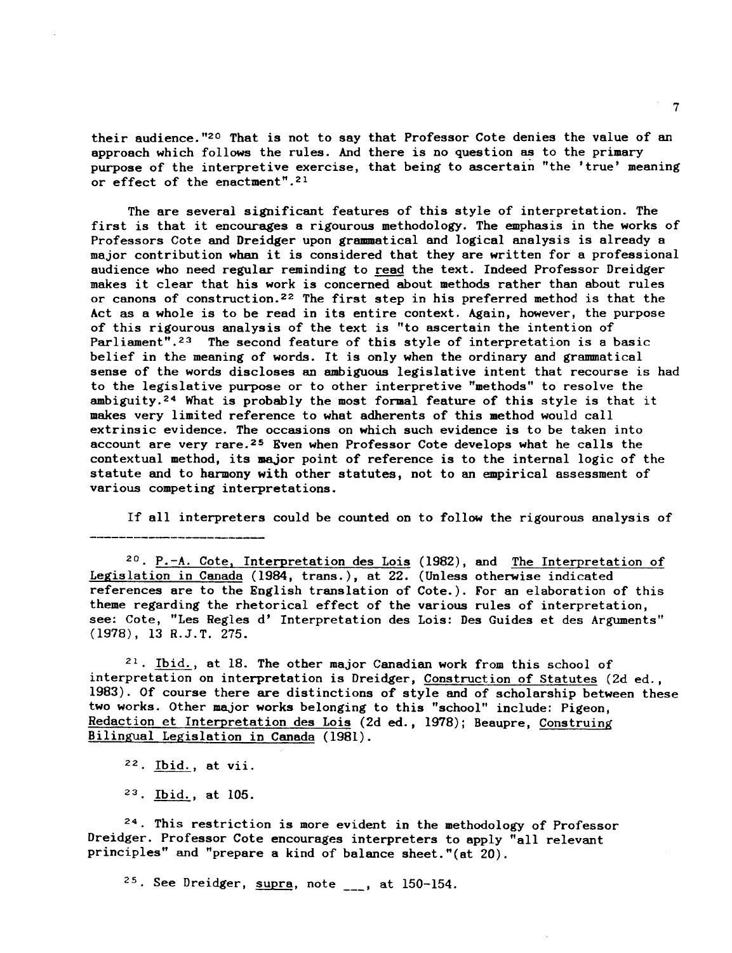their audience."2o That is not to say that Professor Cote denies the value of an approach which follows the rules. And there is no question as to the primary purpose of the interpretive exercise, that being to ascertain "the 'true' meaning or effect of the enactment".21

The are several significant features of this style of interpretation. The first is that it encourages a rigourous methodology. The emphasis in the works of Professors Cote and Dreidger upon grammatical and logical analysis is already a major contribution when it is considered that they are written for a professional audience who need regular reminding to read the text. Indeed Professor Dreidger makes it clear that his work is concerned about methods rather than about rules or canons of construction.<sup>22</sup> The first step in his preferred method is that the Act as a whole is to be read in its entire context. Again, however, the purpose of this rigourous analysis of the text is "to ascertain the intention of Parliament".<sup>23</sup> The second feature of this style of interpretation is a basic belief in the meaning of words. It is only when the ordinary and grammatical sense of the words discloses an ambiguous legislative intent that recourse is had to the legislative purpose or to other interpretive "methods" to resolve the ambiguity.<sup>24</sup> What is probably the most formal feature of this style is that it makes very limited reference to what adherents of this method would call extrinsic evidence. The occasions on which such evidence is to be taken into account are very rare.<sup>25</sup> Even when Professor Cote develops what he calls the contextual method, its major point of reference is to the internal logic of the statute and to harmony with other statutes, not to an empirical assessment of various competing interpretations.

If all interpreters could be counted on to follow the rigourous analysis of

 $20.$  P.-A. Cote, Interpretation des Lois (1982), and The Interpretation of Legislation in Canada (1984, trans.), at 22. (Unless otherwise indicated references are to the English translation of Cote.). For an elaboration of this theme regarding the rhetorical effect of the various rules of interpretation, see: Cote, "Les Regles d' Interpretation des Lois: Des Guides et des Arguments" (1978), 13 R.J.T. 27S.

 $21.$  Ibid., at 18. The other major Canadian work from this school of interpretation on interpretation is Dreidger, Construction of Statutes (2d ed., 1983). Of course there are distinctions of style and of scholarship between these two works. Other major works belonging to this "school" include: Pigeon, Redaction et Interpretation des Lois (2d ed., 1978); Beaupre, Construing Bilingual Legislation in Canada (1981).

 $22.$  Ibid., at vii.

<sup>23</sup>. Ibid., at 105.

24 This restriction is more evident in the methodology of Professor Dreidger. Professor Cote encourages interpreters to apply "all relevant principles" and "prepare a kind of balance sheet."(at 20).

 $25.$  See Dreidger, supra, note  $\overline{\phantom{a}}$  at 150-154.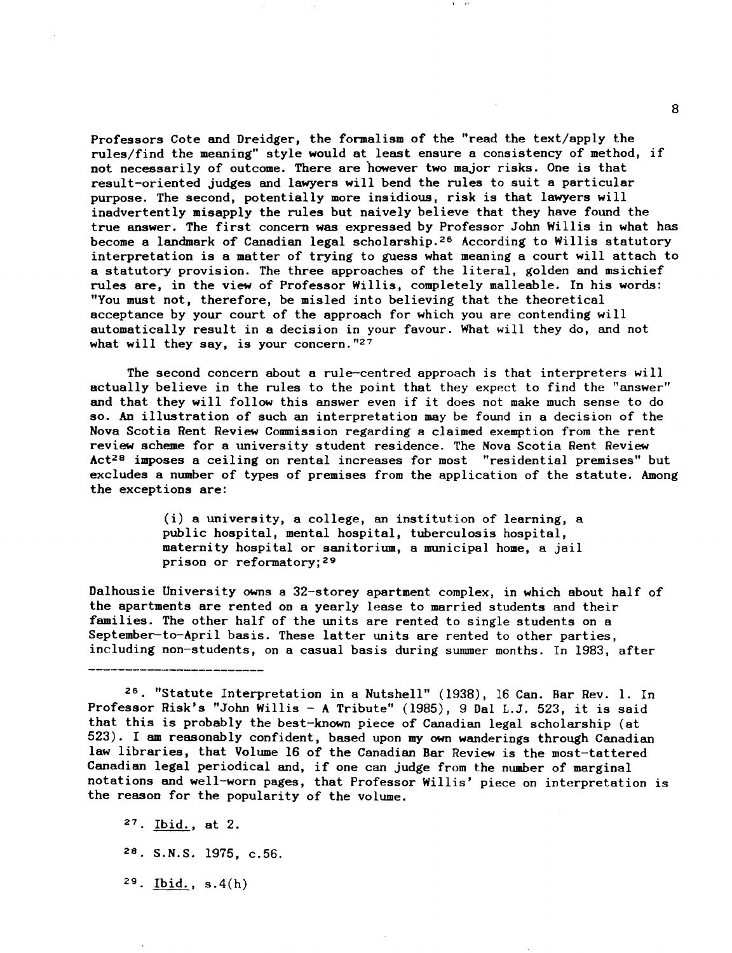Professors Cote and Dreidger, the formalism of the "read the text/apply the rules/find the meaning" style would at least ensure a consistency of method, if not necessarily of outcome. There are however two major risks. One is that result-oriented judges and lawyers will bend the rules to suit a particular purpose. The second, potentially more insidious, risk is that lawyers will inadvertently misapply the rules but naively believe that they have found the true answer. The first concern was expressed by Professor John Willis in what has become a landmark of Canadian legal scholarship.26 According to Willis statutory interpretation is a matter of trying to guess what meaning a court will attach to a statutory provision. The three approaches of the literal, golden and msichief rules are, in the view of Professor Willis, completely malleable. In his words: "You must not, therefore, be misled into believing that the theoretical acceptance by your court of the approach for which you are contending will automatically result in a decision in your favour. What will they do, and not what will they say, is your concern.  $"27$ 

The second concern about a rule-centred approach is that interpreters will actually believe in the rules to the point that they expect to find the "answer" and that they will follow this answer even if it does not make much sense to do so. An illustration of such an interpretation may be found in a decision of the Nova Scotia Rent Review Commission regarding a claimed exemption from the rent review scheme for a university student residence. The Nova Scotia Rent Review  $Act^{28}$  imposes a ceiling on rental increases for most "residential premises" but excludes a number of types of premises from the application of the statute. Among the exceptions are:

> (i) a university, a college, an institution of learning, a public hospital, mental hospital, tuberculosis hospital, maternity hospital or sanitorium, a municipal home, a jail prison or reformatory;29

Dalhousie University owns a 32-storey apartment complex, in which about half of the apartments are rented on a yearly lease to married students and their families. The other half of the units are rented to single students on a September-to-April basis. These latter units are rented to other parties, including non-students, on a casual basis during summer months. In 1983, after

- 28. S.N.S. 1975, c.56.
- $29.$  Ibid.,  $s.4(h)$

8

<sup>&</sup>lt;sup>26</sup>. "Statute Interpretation in a Nutshell" (1938), 16 Can. Bar Rev. 1. In Professor Risk's "John Willis - A Tribute" (1985), 9 Dal L.J. 523, it is said that this is probably the best-known piece of Canadian legal scholarship (at 523). I am reasonably confident, based upon my own wanderings through Canadian law libraries, that Volume 16 of the Canadian Bar Review is the most-tattered Canadian legal periodical and, if one can judge from the number of marginal notations and well-worn pages, that Professor Willis' piece on interpretation is the reason for the popularity of the volume.

<sup>27.</sup> Ibid., at 2.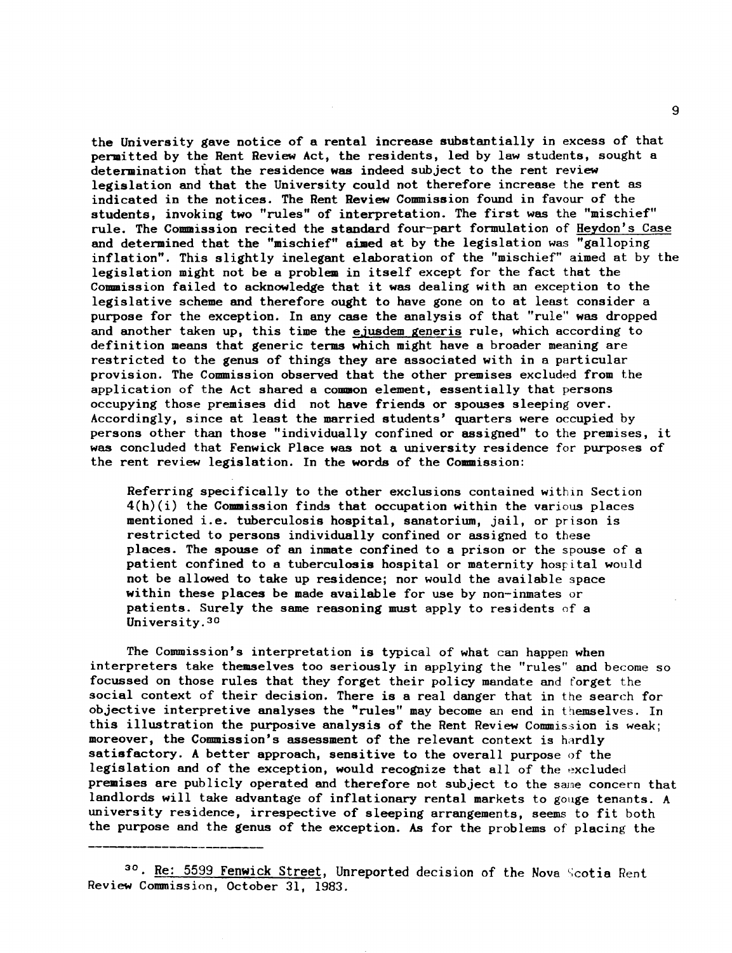the University gave notice of a rental increase substantially in excess of that permitted by the Rent Review Act, the residents, led by law students, sought a determination that the residence was indeed subject to the rent review legislation and that the University could not therefore increase the rent as indicated in the notices. The Rent Review Commission found in favour of the students, invoking two "rules" of interpretation. The first was the "mischief" rule. The Commission recited the standard four-part formulation of Heydon's Case and determined that the "mischief" aimed at by the legislation was "galloping inflation". This slightly inelegant elaboration of the "mischief" aimed at by the legislation might not be a problem in itself except for the fact that the Commission failed to acknowledge that it was dealing with an exception to the legislative scheme and therefore ought to have gone on to at least consider a purpose for the exception. In any case the analysis of that "rule" was dropped and another taken up, this time the ejusdem generis rule, which according to definition means that generic terms which might have a broader meaning are restricted to the genus of things they are associated with in a particular provision. The Commission observed that the other premises excluded from the application of the Act shared a common element, essentially that persons occupying those premises did not have friends or spouses sleeping over. Accordingly, since at least the married students' quarters were occupied by persons other than those "individually confined or assigned" to the premises, it was concluded that Fenwick Place was not a university residence for purposes of the rent review legislation. In the words of the Commission:

Referring specifically to the other exclusions contained within Section  $4(h)(i)$  the Commission finds that occupation within the various places mentioned i.e. tuberculosis hospital, sanatorium, jail, or prison is restricted to persons individually confined or assigned to these places. The spouse of an inmate confined to a prison or the spouse of a patient confined to a tuberculosis hospital or maternity hospital would not be allowed to take up residence; nor would the available space within these places be made available for use by non-inmates or patients. Surely the same reasoning must apply to residents of a University.30

The Commission's interpretation is typical of what can happen when interpreters take themselves too seriously in applying the "rules" and become so focussed on those rules that they forget their policy mandate and forget the social context of their decision. There is a real danger that in the search for objective interpretive analyses the "rules" may become an end in themselves. In this illustration the purposive analysis of the Rent Review Commission is weak; moreover, the Commission's assessment of the relevant context is hardly satisfactory. A better approach, sensitive to the overall purpose of the legislation and of the exception, would recognize that all of the excluded premises are publicly operated and therefore not subject to the same concern that landlords will take advantage of inflationary rental markets to gouge tenants. A university residence, irrespective of sleeping arrangements, seems to fit both the purpose and the genus of the exception. As for the problems of placing the

30. Re: 5599 Fenwick Street, Unreported decision of the Nova Scotia Rent Review Commission, October 31, 1983.

9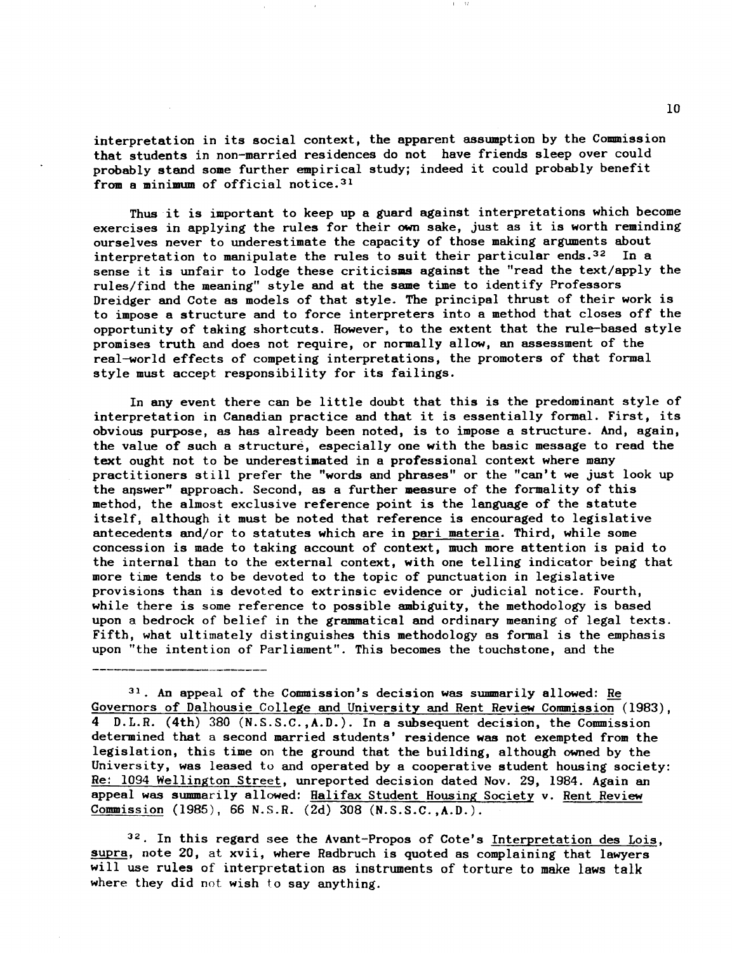interpretation in its social context, the apparent assumption by the Commission that students in non-married residences do not have friends sleep over could probably stand some further empirical study; indeed it could probably benefit from a minimum of official notice. 31

Thus it is important to keep up a guard against interpretations which become exercises in applying the rules for their own sake, just as it is worth reminding ourselves never to underestimate the capacity of those making arguments about<br>interpretation to manipulate the rules to suit their particular ends.<sup>32</sup> In a interpretation to manipulate the rules to suit their particular ends.<sup>32</sup> sense it is unfair to lodge these criticisms against the "read the text/apply the rules/find the meaning" style and at the same time to identify Professors Dreidger and Cote as models of that style. The principal thrust of their work is to impose a structure and to force interpreters into a method that closes off the opportunity of taking shortcuts. However, to the extent that the rule-based style promises truth and does not require, or normally allow, an assessment of the real-world effects of competing interpretations, the promoters of that formal style must accept responsibility for its failings.

In any event there can be little doubt that this is the predominant style of interpretation in Canadian practice and that it is essentially formal. First, its obvious purpose, as has already been noted, is to impose a structure. And, again, the value of such a structure, especially one with the basic message to read the text ought not to be underestimated in a professional context where many practitioners still prefer the "words and phrases" or the "can't we just look up the answer" approach. Second, as a further measure of the formality of this method, the almost exclusive reference point is the language of the statute itself, although it must be noted that reference is encouraged to legislative antecedents and/or to statutes which are in pari materia. Third, while some concession is made to taking account of context, much more attention is paid to the internal than to the external context, with one telling indicator being that more time tends to be devoted to the topic of punctuation in legislative provisions than is devoted to extrinsic evidence or judicial notice. Fourth, while there is some reference to possible ambiguity, the methodology is based upon a bedrock of belief in the grammatical and ordinary meaning of legal texts. Fifth, what ultimately distinguishes this methodology as formal is the emphasis upon "the intention of Parliament". This becomes the touchstone, and the

31. An appeal of the Commission's decision was summarily allowed: Re Governors of Dalhousie College and University and Rent Review Commission  $(1983)$ , 4 D.L.R. (4th) 380 (N.S.S.C.,A.D.). In a subsequent decision, the Commission determined that a second married students' residence was not exempted from the legislation, this time on the ground that the building, although owned by the University, was leased to and operated by a cooperative student housing society: Re: 1094 Wellington Street, unreported decision dated Nov. 29, 1984. Again an appeal was summarily allowed: Halifax Student Housing Society v. Rent Review Commission (1985), 66 N.S.R. (2d) 308 (N.S.S.C.,A.D.).

32. In this regard see the Avant-Propos of Cote's Interpretation des Lois, supra, note 20, at xvii, where Radbruch is quoted as complaining that lawyers will use rules of interpretation as instruments of torture to make laws talk where they did not wish to say anything.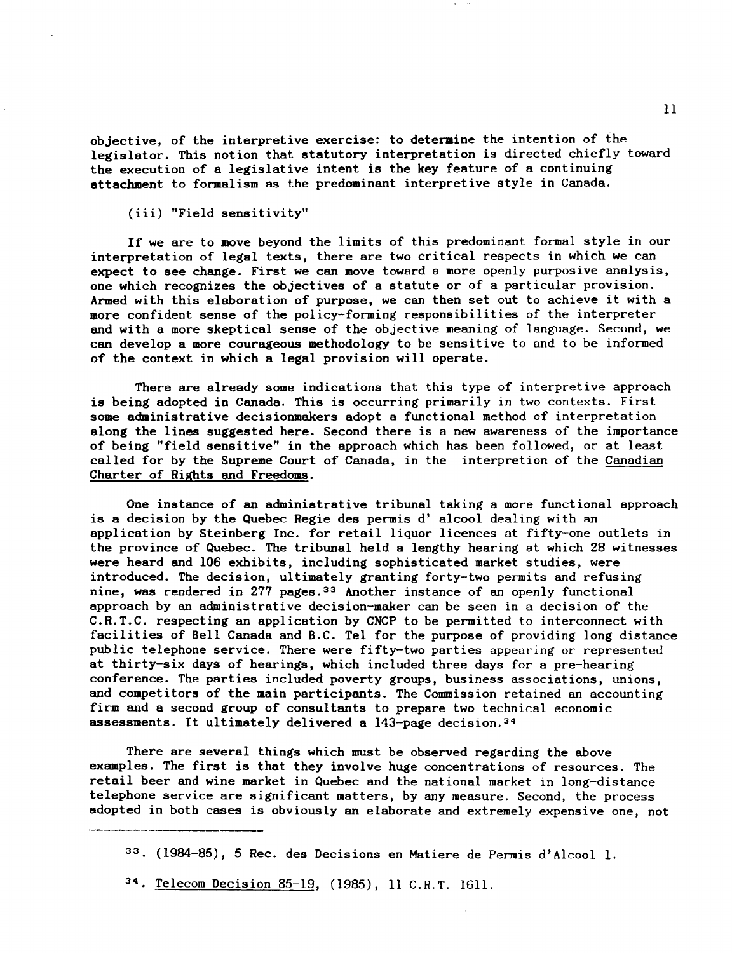objective, of the interpretive exercise: to deteraine the intention of the legislator. This notion that statutory interpretation is directed chiefly toward the execution of a legislative intent is the key feature of a continuing attachment to formalism as the predominant interpretive style in Canada.

(iii) "Field sensitivity"

If we are to move beyond the limits of this predominant formal style in our interpretation of legal texts, there are two critical respects in which we can expect to see change. First we can move toward a more openly purposive analysis, one which recognizes the objectives of a statute or of a particular provision. Armed with this elaboration of purpose, we can then set out to achieve it with a more confident sense of the policy-forming responsibilities of the interpreter and with a more skeptical sense of the objective meaning of language. Second, we can develop a more courageous methodology to be sensitive to and to be informed of the context in which a legal provision will operate.

There are already some indications that this type of interpretive approach is being adopted in Canada. This is occurring primarily in two contexts. First some administrative decisionmakers adopt a functional method of interpretation along the lines suggested here. Second there is a new awareness of the importance of being "field sensitive" in the approach which has been followed, or at least called for by the Supreme Court of Canada. in the interpretion of the Canadian Charter of Rights and Freedoms.

One instance of an administrative tribunal taking a more functional approach is a decision by the Quebec Regie des permis d' alcool dealing with an application by Steinberg Inc. for retail liquor licences at fifty-one outlets in the province of Quebec. The tribunal held a lengthy hearing at which 28 witnesses were heard and 106 exhibits, including sophisticated market studies, were introduced. The decision, ultimately granting forty-two permits and refusing nine, was rendered in 277 pages.<sup>33</sup> Another instance of an openly functional approach by an administrative decision-maker can be seen in a decision of the C.R.T.C. respecting an application by CNCP to be permitted to interconnect with facilities of Bell Canada and B.C. Tel for the purpose of providing long distance public telephone service. There were fifty-two parties appearing or represented at thirty-six days of hearings, which included three days for a pre-hearing conference. The parties included poverty groups, business associations, unions, and competitors of the main participants. The Commission retained an accounting firm and a second group of consultants to prepare two technical economic assessments. It ultimately delivered a 143-page decision. 34

There are several things which must be observed regarding the above examples. The first is that they involve huge concentrations of resources. The retail beer and wine market in Quebec and the national market in long-distance telephone service are significant matters, by any measure. Second, the process adopted in both cases is obviously an elaborate and extremely expensive one, not

<sup>33 (1984-85), 5</sup> Rec. des Decisions en Matiere de Permis d'Alcool 1.

<sup>34.</sup> Telecom Decision 85-19, (1985), 11 C.R.T. 1611.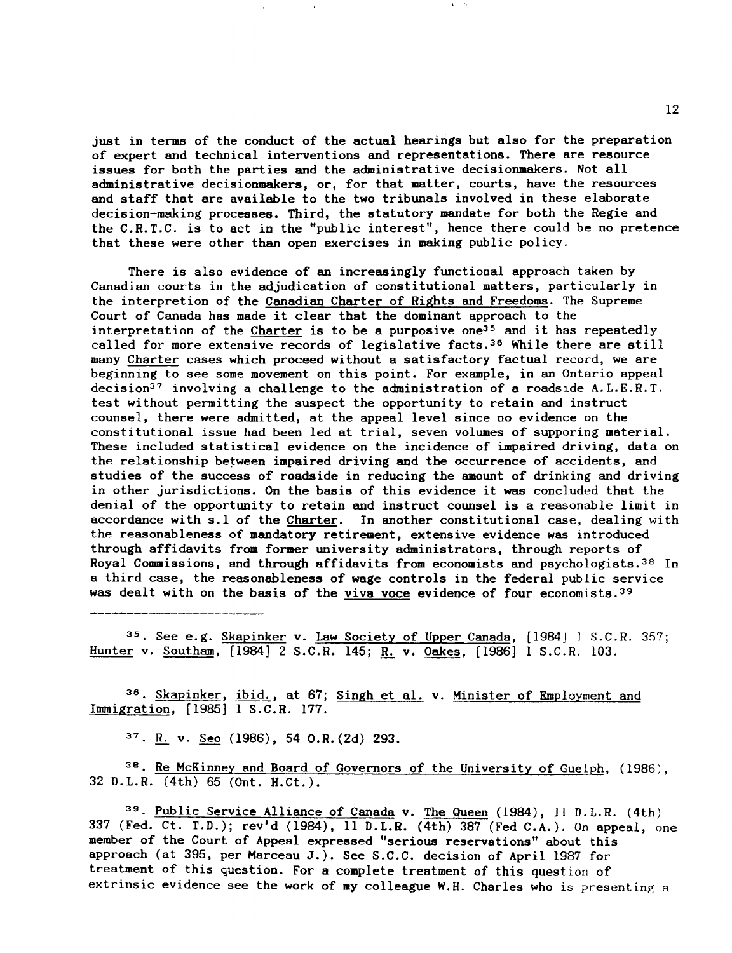just in terms of the conduct of the actual hearings but also for the preparation of expert and technical interventions and representations. There are resource issues for both the parties and the administrative decisionmakers. Not all administrative decisionmakers, or, for that matter, courts, have the resources and staff that are available to the two tribunals involved in these elaborate decision-making processes. Third, the statutory mandate for both the Regie and the C.R.T.C. is to act in the "public interest", hence there could be no pretence that these were other than open exercises in making public policy.

There is also evidence of an increasingly functional approach taken by Canadian courts in the adjudication of constitutional matters, particularly in the interpretion of the Canadian Charter of Rights and Freedoms. The Supreme Court of Canada has made it clear that the dominant approach to the interpretation of the Charter is to be a purposive one<sup>35</sup> and it has repeatedly called for more extensive records of legislative facts. 36 While there are still many Charter cases which proceed without a satisfactory factual record, we are beginning to see some movement on this point. For example, in an Ontario appeal decision37 involving a challenge to the administration of a roadside A.L.E.R.T. test without permitting the suspect the opportunity to retain and instruct counsel, there were admitted, at the appeal level since no evidence on the constitutional issue had been led at trial, seven volumes of supporing material. These included statistical evidence on the incidence of impaired driving, data on the relationship between impaired driving and the occurrence of accidents, and studies of the success of roadside in reducing the amount of drinking and driving in other jurisdictions. On the basis of this evidence it was concluded that the denial of the opportunity to retain and instruct counsel is a reasonable limit in accordance with s.l of the Charter. In another constitutional case, dealing with the reasonableness of mandatory retirement, extensive evidence was introduced through affidavits from former university administrators, through reports of Royal Commissions, and through affidavits from economists and psychologists.<sup>38</sup> In a third case, the reasonableness of wage controls in the federal public service was dealt with on the basis of the viva voce evidence of four economists.<sup>39</sup>

35. See e.g. Skapinker v. Law Society of Upper Canada, [1984] ] S.C.R. 357; Hunter v. Southam, [1984] 2 S.C.R. 145; R. v. Oakes, [1986] 1 S.C.R. 103.

36. Skapinker, ibid., at 67; Singh et al. v. Minister of Employment and Immigration, [1985] 1 S.C.R. 177.

37. R. v. Seo (1986), 54 0.R.(2d) 293.

 $38.$  Re McKinney and Board of Governors of the University of Guelph,  $(1986)$ , 32 D.L.R. (4th) 65 (Ont. H.Ct.).

39. Public Service Alliance of Canada v. The Queen (1984), 11 D.L.R. (4th) 337 (Fed. Ct. T.D.); rev'd (1984), 11 D.L.R. (4th) 387 (Fed C.A.). On appeal, one member of the Court of Appeal expressed "serious reservations" about this approach (at 395, per Marceau J.). See S.C.C. decision of April 1987 for treatment of this question. For a complete treatment of this question of extrinsic evidence see the work of my colleague W.H. Charles who is presenting a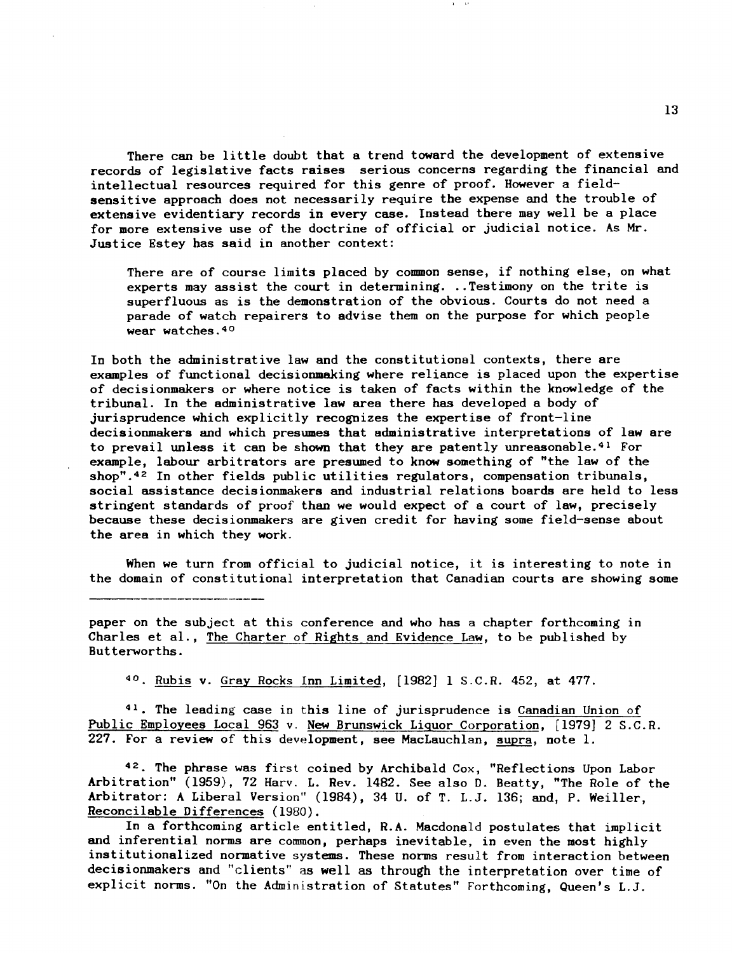There can be little doubt that a trend toward the development of extensive records of legislative facts raises serious concerns regarding the financial and intellectual resources required for this genre of proof. However a fieldsensitive approach does not necessarily require the expense and the trouble of extensive evidentiary records in every case. Instead there may well be a place for more extensive use of the doctrine of official or judicial notice. As Mr. Justice Estey has said in another context:

There are of course limits placed by common sense, if nothing else, on what experts may assist the court in determining. .. Testimony on the trite is superfluous as is the demonstration of the obvious. Courts do not need a parade of watch repairers to advise them on the purpose for which people wear watches. 40

In both the administrative law and the constitutional contexts, there are examples of functional decisionmaking where reliance is placed upon the expertise of decisionmakers or where notice is taken of facts within the knowledge of the tribunal. In the administrative law area there has developed a body of jurisprudence which explicitly recognizes the expertise of front-line decisionmakers and which presumes that administrative interpretations of law are to prevail unless it can be shown that they are patently unreasonable. 41 For example, labour arbitrators are presumed to know something of "the law of the shop".<sup>42</sup> In other fields public utilities regulators, compensation tribunals, social assistance decisionmakers and industrial relations boards are held to less stringent standards of proof than we would expect of a court of law, precisely because these decisionmakers are given credit for having some field-sense about the area in which they work.

When we turn from official to judicial notice, it is interesting to note in the domain of constitutional interpretation that Canadian courts are showing some

paper on the subject at this conference and who has a chapter forthcoming in Charles et al., The Charter of Rights and Evidence Law, to be published by Butterworths.

<sup>40</sup>. Rubis v. Gray Rocks Inn Limited, [1982] 1 S.C.R. 452, at 477.

41. The leading case in this line of jurisprudence is Canadian Union of Public Employees Local 963 v. New Brunswick Liquor Corporation, [1979] 2 S.C.R. 227. For a review of this development, see MacLauchlan, supra, note 1.

42 The phrase was first coined by Archibald Cox, "Reflections Upon Labor Arbitration" (1959), 72 Harv. L. Rev. 1482. See also D. Beatty, "The Role of the Arbitrator: A Liberal Version" (1984), 34 U. of T. L.J. 136; and, P. Weiller, Reconcilable Differences (1980).

In a forthcoming article entitled, R.A. Macdonald postulates that implicit and inferential norms are common, perhaps inevitable, in even the most highly institutionalized normative systems. These norms result from interaction between decisionmakers and "clients" as well as through the interpretation over time of explicit norms. "On the Administration of Statutes" Forthcoming, Queen's L.J.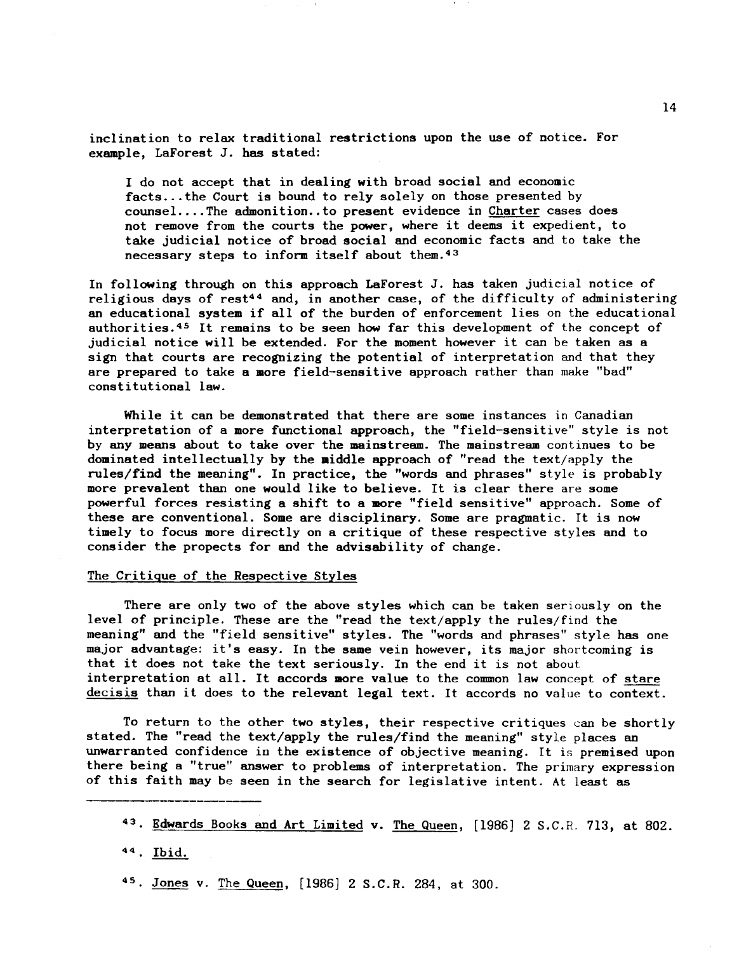inclination to relax traditional restrictions upon the use of notice. For example, LaForest J. has stated:

I do not accept that in dealing with broad social and economic facts ... the Court is bound to rely solely on those presented by counsel .•.. The admonition •. to present evidence in Charter cases does not remove from the courts the power, where it deems it expedient, to take judicial notice of broad social and economic facts and to take the necessary steps to inform itself about them. 43

In following through on this approach LaForest J. has taken judicial notice of religious days of rest<sup>44</sup> and, in another case, of the difficulty of administering an educational system if all of the burden of enforcement lies on the educational authorities. 45 It remains to be seen how far this development of the concept of judicial notice will be extended. For the moment however it can be taken as a sign that courts are recognizing the potential of interpretation and that they are prepared to take a more field-sensitive approach rather than make "bad" constitutional law.

While it can be demonstrated that there are some instances in Canadian interpretation of a more functional approach, the "field-sensitive" style is not by any means about to take over the mainstream. The mainstream continues to be dominated intellectually by the aiddle approach of "read the text/apply the rules/find the meaning". In practice, the "words and phrases" style is probably more prevalent than one would like to believe. It is clear there are some powerful forces resisting a shift to a more "field sensitive" approach. Some of these are conventional. Some are disciplinary. Some are pragmatic. It is now timely to focus more directly on a critique of these respective styles and to consider the propects for and the advisability of change.

#### The Critique of the Respective Styles

There are only two of the above styles which can be taken seriously on the level of principle. These are the "read the text/apply the rules/find the meaning" and the "field sensitive" styles. The "words and phrases" style has one major advantage: it's easy. In the same vein however, its major shortcoming is that it does not take the text seriously. In the end it is not about interpretation at all. It accords more value to the common law concept of stare decisis than it does to the relevant legal text. It accords no value to context.

To return to the other two styles, their respective critiques can be shortly stated. The "read the text/apply the rules/find the meaning" style places an unwarranted confidence in the existence of objective meaning. It is premised upon there being a "true" answer to problems of interpretation. The primary expression of this faith may be seen in the search for legislative intent. At least as

<sup>43.</sup> Edwards Books and Art Limited v. The Queen, [1986] 2 S.C.R. 713, at 802.

<sup>44.</sup> Ibid.

<sup>45.</sup> Jones v. The Queen, [1986] 2 S.C.R. 284, at 300.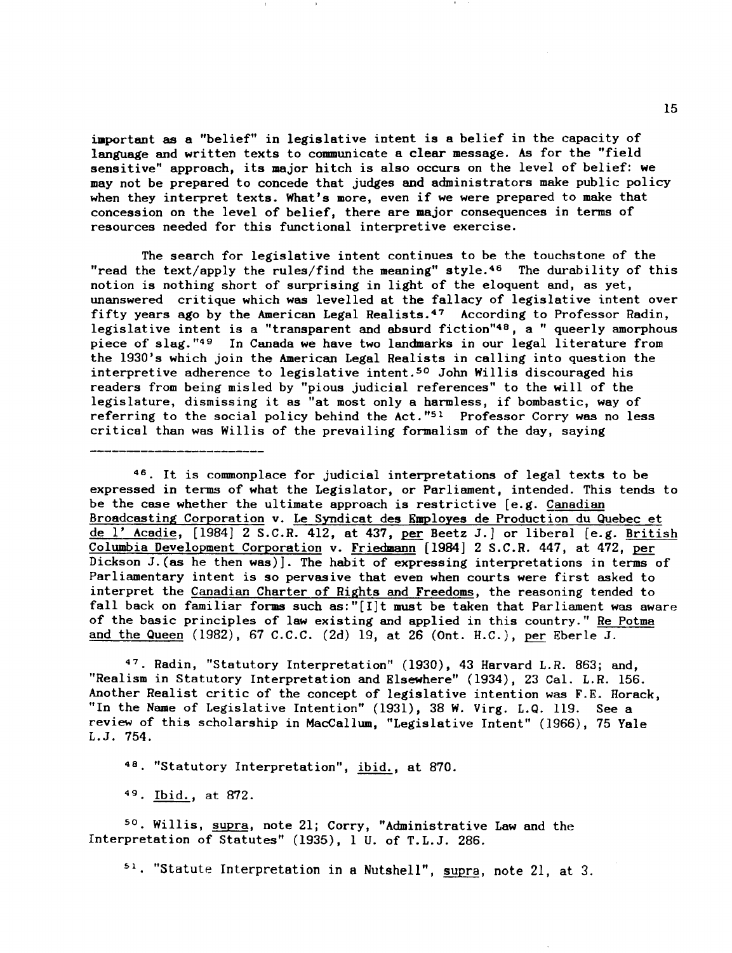important as a "belief" in legislative intent is a belief in the capacity of language and written texts to communicate a clear message. As for the "field sensitive" approach, its major hitch is also occurs on the level of belief: we may not be prepared to concede that judges and administrators make public policy when they interpret texts. What's more, even if we were prepared to make that concession on the level of belief, there are major consequences in terms of resources needed for this functional interpretive exercise.

The search for legislative intent continues to be the touchstone of the "read the text/apply the rules/find the meaning" style.<sup>46</sup> The durability of this notion is nothing short of surprising in light of the eloquent and, as yet, unanswered critique which was levelled at the fallacy of legislative intent over fifty years ago by the American Legal Realists. $47$  According to Professor Radin, legislative intent is a "transparent and absurd fiction"48, a " queerly amorphous piece of slag. "49 In Canada we have two landmarks in our legal literature from the 1930's which join the American Legal Realists in calling into question the interpretive adherence to legislative intent.<sup>50</sup> John Willis discouraged his readers from being misled by "pious judicial references" to the will of the legislature, dismissing it as "at most only a harmless, if bombastic, way of referring to the social policy behind the  $Act.^{m_{51}}$  Professor Corry was no less critical than was Willis of the prevailing formalism of the day, saying

46. It is commonplace for judicial interpretations of legal texts to be expressed in terms of what the Legislator, or Parliament, intended. This tends to be the case whether the ultimate approach is restrictive  $[e.g.$  Canadian Broadcasting Corporation v. Le Syndicat des Employes de Production du Quebec et de l' Acadie, (1984] 2 S.C.R. 412, at 437, per Beetz J.] or liberal (e.g. British Columbia Development Corporation v. Friedmann (1984] 2 S.C.R. 447, at 472, per Dickson J.(as he then was)]. The habit of expressing interpretations in terms of Parliamentary intent is so pervasive that even when courts were first asked to interpret the Canadian Charter of Rights and Freedoms, the reasoning tended to fall back on familiar forms such as:" $[I]t$  must be taken that Parliament was aware of the basic principles of law existing and applied in this country." Re Potma and the Queen (1982), 67 C.C.C. (2d) 19, at 26 (Ont. H.C.), per Eberle J.

47. Radin, "Statutory Interpretation" (1930), 43 Harvard L.R. 863; and, "Realism in Statutory Interpretation and Elsewhere" (1934), 23 Cal. L.R. 156. Another Realist critic of the concept of legislative intention was F.E. Horack, "In the Name of Legislative Intention" (1931), 38 W. Virg. L.Q. 119. See a review of this scholarship in MacCallum, "Legislative Intent" (1966), 75 Yale L.J. 754.

48. "Statutory Interpretation", ibid., at 870.

49 Ibid., at 872.

50. Willis, supra, note 21; Corry, "Administrative Law and the Interpretation of Statutes" (1935), 1 U. of T.L.J. 286.

51. "Statute Interpretation in a Nutshell", supra, note 21, at 3.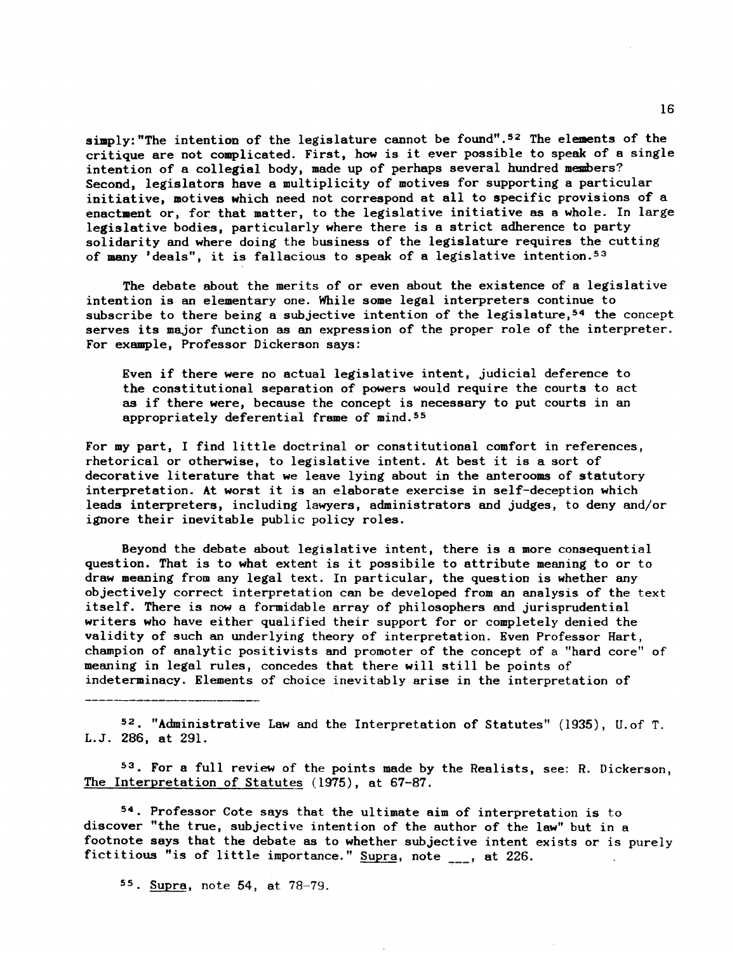simply: "The intention of the legislature cannot be found".<sup>52</sup> The elements of the critique are not complicated. First, how is it ever possible to speak of a single intention of a collegial body, made up of perhaps several hundred members? Second, legislators have a multiplicity of motives for supporting a particular initiative, motives which need not correspond at all to specific provisions of a enactment or, for that matter, to the legislative initiative as a whole. In large legislative bodies, particularly where there is a strict adherence to party solidarity and where doing the business of the legislature requires the cutting of many 'deals", it is fallacious to speak of a legislative intention. 53

The debate about the merits of or even about the existence of a legislative intention is an elementary one. While some legal interpreters continue to subscribe to there being a subjective intention of the legislature,<sup>54</sup> the concept serves its major function as an expression of the proper role of the interpreter. For example, Professor Dickerson says:

Even if there were no actual legislative intent, judicial deference to the constitutional separation of powers would require the courts to act as if there were, because the concept is necessary to put courts in an appropriately deferential frame of mind. 55

For my part, I find little doctrinal or constitutional comfort in references, rhetorical or otherwise, to legislative intent. At best it is a sort of decorative literature that we leave lying about in the anterooms of statutory interpretation. At worst it is an elaborate exercise in self-deception which leads interpreters, including lawyers, administrators and judges, to deny and/or ignore their inevitable public policy roles.

Beyond the debate about legislative intent, there is a more consequential question. That is to what extent is it possibile to attribute meaning to or to draw meaning from any legal text. In particular, the question is whether any objectively correct interpretation can be developed from an analysis of the text itself. There is now a formidable array of philosophers and jurisprudential writers who have either qualified their support for or completely denied the validity of such an underlying theory of interpretation. Even Professor Hart, champion of analytic positivists and promoter of the concept of a "hard core" of meaning in legal rules, concedes that there will still be points of indeterminacy. Elements of choice inevitably arise in the interpretation of

52. "Administrative Law and the Interpretation of Statutes" (1935), U. of T. L.J. 286, at 291.

53. For a full review of the points made by the Realists, see: R. Dickerson, The Interpretation of Statutes (1975), at 67-87.

54. Professor Cote says that the ultimate aim of interpretation is to discover "the true, subjective intention of the author of the law" but in a footnote says that the debate as to whether subjective intent exists or is purely fictitious "is of little importance." Supra, note  $_{---}$ , at 226.

55. Supra, note 54, at 78-79.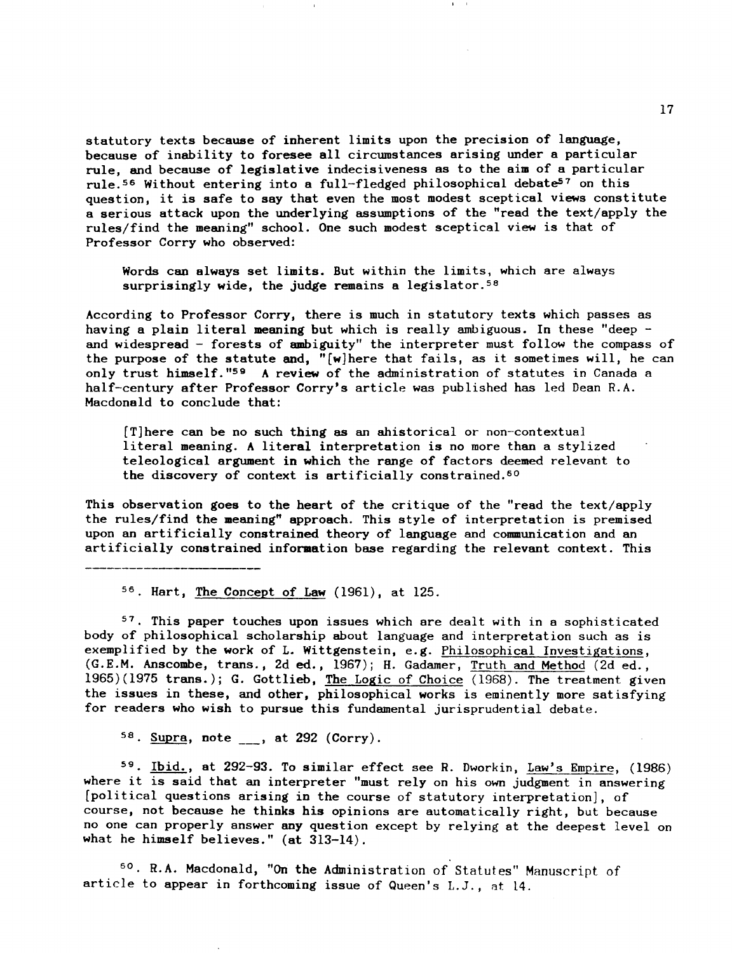statutory texts because of inherent limits upon the precision of language, because of inability to foresee all circumstances arising under a particular rule, and because of legislative indecisiveness as to the aim of a particular rule.<sup>56</sup> Without entering into a full-fledged philosophical debate<sup>57</sup> on this question, it is safe to say that even the most modest sceptical views constitute a serious attack upon the underlying assumptions of the "read the text/apply the rules/find the meaning" school. One such modest sceptical view is that of Professor Corry who observed:

Words can always set limits. But within the limits, which are always surprisingly wide, the judge remains a legislator.<sup>58</sup>

According to Professor Corry, there is much in statutory texts which passes as having a plain literal meaning but which is really ambiguous. In these "deep and widespread - forests of ambiguity" the interpreter must follow the compass of the purpose of the statute and, "[w]here that fails, as it sometimes will, he can only trust himself."<sup>59</sup> A review of the administration of statutes in Canada a half-century after Professor Corry's article was published has led Dean R.A. Macdonald to conclude that:

[T]here can be no such thing as an &historical or non-contextual literal meaning. A literal interpretation is no more than a stylized teleological argument in which the range of factors deemed relevant to the discovery of context is artificially constrained.<sup>60</sup>

This observation goes to the heart of the critique of the "read the text/apply the rules/find the meaning" approach. This style of interpretation is premised upon an artificially constrained theory of language and communication and an artificially constrained information base regarding the relevant context. This

56 Hart, The Concept of Law (1961), at 125.

 $57$ . This paper touches upon issues which are dealt with in a sophisticated body of philosophical scholarship about language and interpretation such as is exemplified by the work of L. Wittgenstein, e.g. Philosophical Investigations, (G.E.M. Anscombe, trans., 2d ed., 1967); H. Gadamer, Truth and Method (2d ed., 1965)(1975 trans.); G. Gottlieb, The Logic of Choice (1968). The treatment given the issues in these, and other, philosophical works is eminently more satisfying for readers who wish to pursue this fundamental jurisprudential debate.

 $58.$  Supra, note  $\_\_$ , at 292 (Corry).

59 Ibid., at 292-93. To similar effect see R. Dworkin, Law's Empire, (1986) where it is said that an interpreter "must rely on his own judgment in answering [political questions arising in the course of statutory interpretation], of course, not because he thinks his opinions are automatically right, but because no one can properly answer any question except by relying at the deepest level on what he himself believes."  $(at 313-14)$ .

<sup>50</sup>. R.A. Macdonald, "On the Administration of Statutes" Manuscript of article to appear in forthcoming issue of Queen's L.J., at 14.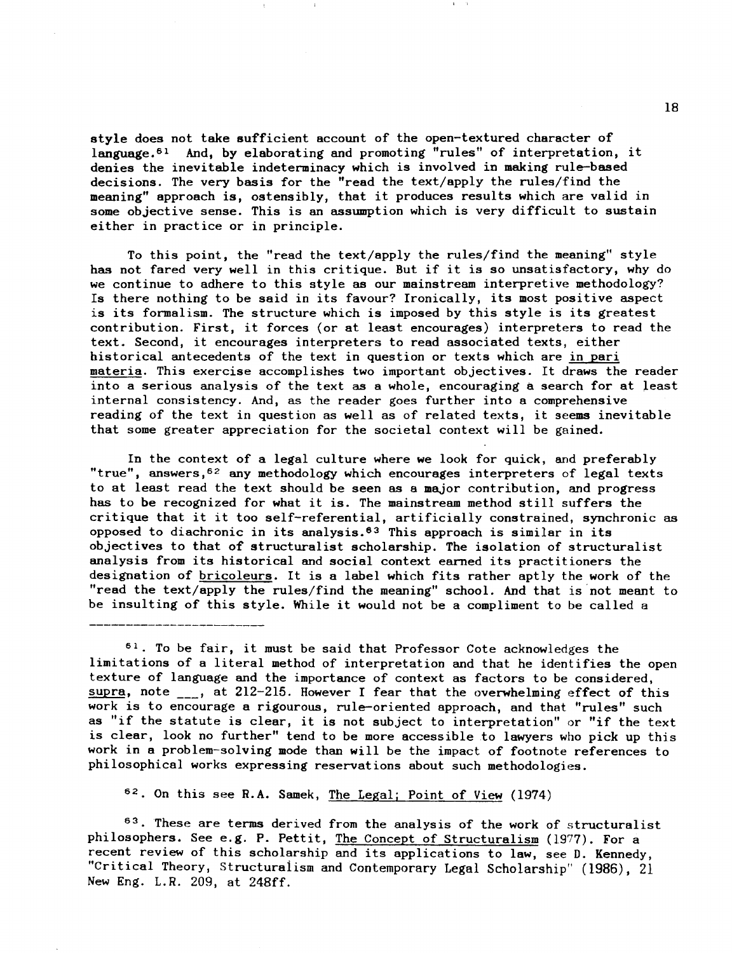style does not take sufficient account of the open-textured character of language. 61 And, by elaborating and promoting "rules" of interpretation, it denies the inevitable indeterminacy which is involved in making rule-based decisions. The very basis for the "read the text/apply the rules/find the meaning" approach is, ostensibly, that it produces results which are valid in some objective sense. This is an assumption which is very difficult to sustain either in practice or in principle.

To this point, the "read the text/apply the rules/find the meaning" style has not fared very well in this critique. But if it is so unsatisfactory, why do we continue to adhere to this style as our mainstream interpretive methodology? Is there nothing to be said in its favour? Ironically, its most positive aspect is its formalism. The structure which is imposed by this style is its greatest contribution. First, it forces (or at least encourages) interpreters to read the text. Second, it encourages interpreters to read associated texts, either historical antecedents of the text in question or texts which are in pari materia. This exercise accomplishes two important objectives. It draws the reader into a serious analysis of the text as a whole, encouraging a search for at least internal consistency. And, as the reader goes further into a comprehensive reading of the text in question as well as of related texts, it seems inevitable that some greater appreciation for the societal context will be gained.

In the context of a legal culture where we look for quick, and preferably "true", answers,52 any methodology which encourages interpreters of legal texts to at least read the text should be seen as a major contribution, and progress has to be recognized for what it is. The mainstream method still suffers the critique that it it too self-referential, artificially constrained, synchronic as opposed to diachronic in its analysis.<sup>63</sup> This approach is similar in its objectives to that of structuralist scholarship. The isolation of structuralist analysis from its historical and social context earned its practitioners the designation of bricoleurs. It is a label which fits rather aptly the work of the "read the text/apply the rules/find the meaning" school. And that is· not meant to be insulting of this style. While it would not be a compliment to be called a

 $61$ . To be fair, it must be said that Professor Cote acknowledges the limitations of a literal method of interpretation and that he identifies the open texture of language and the importance of context as factors to be considered, supra, note  $\overline{\phantom{a}}$ , at 212-215. However I fear that the overwhelming effect of this work is to encourage a rigourous, rule-oriented approach, and that "rules" such as "if the statute is clear, it is not subject to interpretation" or "if the text is clear, look no further" tend to be more accessible to lawyers who pick up this work in a problem-solving mode than will be the impact of footnote references to philosophical works expressing reservations about such methodologies.

62. On this see R.A. Samek, The Legal; Point of View (1974)

63. These are terms derived from the analysis of the work of structuralist philosophers. See e.g. P. Pettit, The Concept of Structuralism (1977). For a recent review of this scholarship and its applications to law, see D. Kennedy, "Critical Theory, Structuraiism and Contemporary Legal Scholarship" (1986), 21 New Eng. L.R. 209, at 248ff.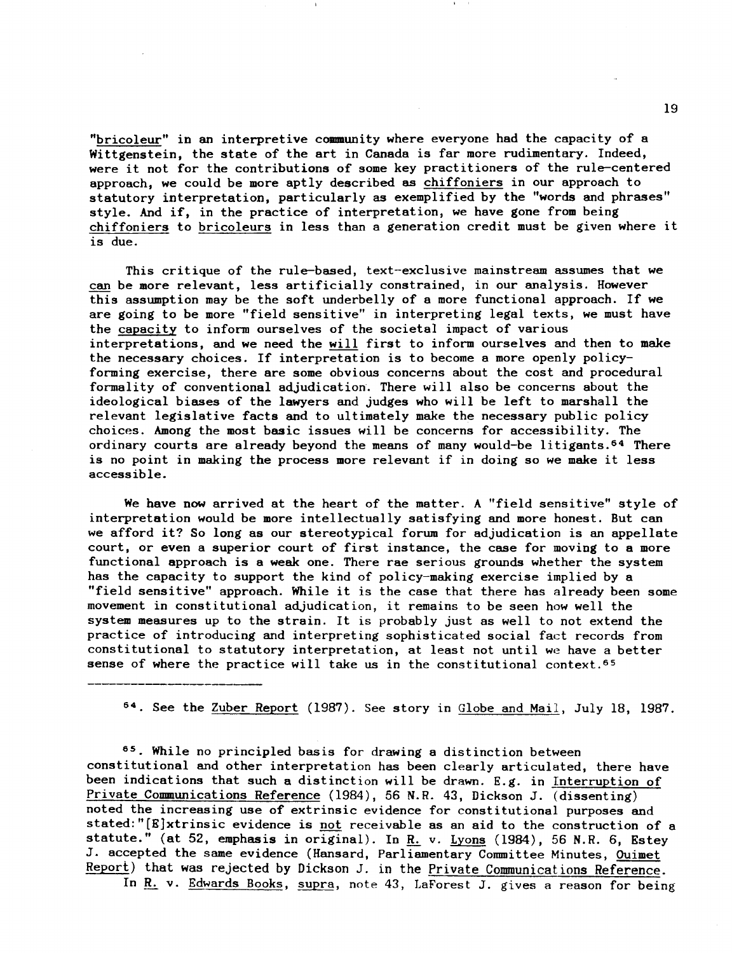"bricoleur" in an interpretive community where everyone had the capacity of a Wittgenstein, the state of the art in Canada is far more rudimentary. Indeed, were it not for the contributions of some key practitioners of the rule-centered approach, we could be more aptly described as chiffoniers in our approach to statutory interpretation, particularly as exemplified by the "words and phrases" style. And if, in the practice of interpretation, we have gone from being chiffoniers to bricoleurs in less than a generation credit must be given where it is due.

This critique of the rule-based, text-exclusive mainstream assumes that we can be more relevant, less artificially constrained, in our analysis. However this assumption may be the soft underbelly of a more functional approach. If we are going to be more "field sensitive" in interpreting legal texts, we must have the capacity to inform ourselves of the societal impact of various interpretations, and we need the will first to inform ourselves and then to make the necessary choices. If interpretation is to become a more openly policyforming exercise, there are some obvious concerns about the cost and procedural formality of conventional adjudication. There will also be concerns about the ideological biases of the lawyers and judges who will be left to marshall the relevant legislative facts and to ultimately make the necessary public policy choices. Among the most basic issues will be concerns for accessibility. The ordinary courts are already beyond the means of many would-be litigants.<sup>64</sup> There is no point in making the process more relevant if in doing so we make it less accessible.

We have now arrived at the heart of the matter. A "field sensitive" style of interpretation would be more intellectually satisfying and more honest. But can we afford it? So long as our stereotypical forum for adjudication is an appellate court, or even a superior court of first instance, the case for moving to a more functional approach is a weak one. There rae serious grounds whether the system has the capacity to support the kind of policy-making exercise implied by a "field sensitive" approach. While it is the case that there has already been some movement in constitutional adjudication, it remains to be seen how well the system measures up to the strain. It is probably just as well to not extend the practice of introducing and interpreting sophisticated social fact records from constitutional to statutory interpretation, at least not until we have a better sense of where the practice will take us in the constitutional context.<sup>65</sup>

54. See the Zuber Report (1987). See story in Globe and Mail, July 18, 1987.

55. While no principled basis for drawing a distinction between constitutional and other interpretation has been clearly articulated, there have been indications that such a distinction will be drawn. E.g. in Interruption of Private Communications Reference (1984), 56 N.R. 43, Dickson J. (dissenting) noted the increasing use of extrinsic evidence for constitutional purposes and stated: "[E]xtrinsic evidence is not receivable as an aid to the construction of a statute." (at 52, emphasis in original). In  $R$ . v. Lyons (1984), 56 N.R. 6, Estey J. accepted the same evidence (Hansard, Parliamentary Committee Minutes, Ouimet Report) that was rejected by Dickson J. in the Private Communications Reference.

In R. v. Edwards Books, supra, note 43, LaForest J. gives a reason for being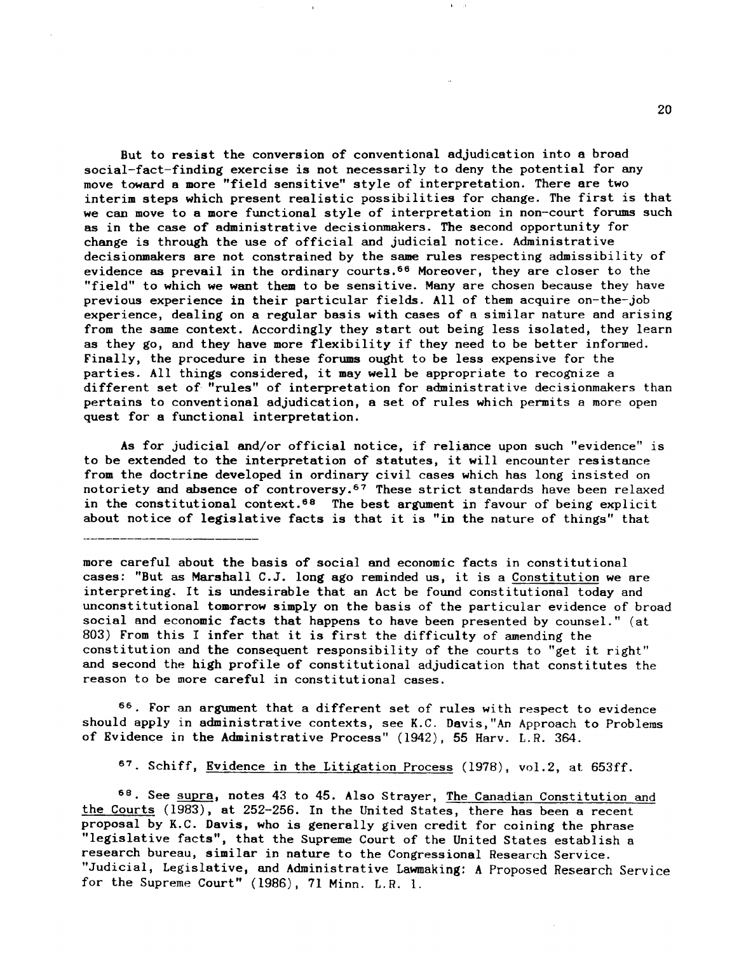But to resist the conversion of conventional adjudication into a broad social-fact-finding exercise is not necessarily to deny the potential for any move toward a more "field sensitive" style of interpretation. There are two interim steps which present realistic possibilities for change. The first is that we can move to a more functional style of interpretation in non-court forums such as in the case of administrative decisionmakers. The second opportunity for change is through the use of official and judicial notice. Administrative decisionmakers are not constrained by the same rules respecting admissibility of evidence as prevail in the ordinary courts. 56 Moreover, they are closer to the "field" to which we want them to be sensitive. Many are chosen because they have previous experience in their particular fields. All of them acquire on-the-job experience, dealing on a regular basis with cases of a similar nature and arising from the same context. Accordingly they start out being less isolated, they learn as they go, and they have more flexibility if they need to be better informed. Finally, the procedure in these forums ought to be less expensive for the parties. All things considered, it may well be appropriate to recognize a different set of· "rules" of interpretation for administrative decisionmakers than pertains to conventional adjudication, a set of rules which permits a more open quest for a functional interpretation.

As for judicial and/or official notice, if reliance upon such "evidence" is to be extended to the interpretation of statutes, it will encounter resistance from the doctrine developed in ordinary civil cases which has long insisted on notoriety and absence of controversy.<sup>67</sup> These strict standards have been relaxed in the constitutional context.<sup>68</sup> The best argument in favour of being explicit about notice of legislative facts is that it is "in the nature of things" that

more careful about the basis of social and economic facts in constitutional cases: "But as Marshall C.J. long ago reminded us, it is a Constitution we are interpreting. It is undesirable that an Act be found constitutional today and unconstitutional tomorrow simply on the basis of the particular evidence of broad social and economic facts that happens to have been presented by counsel." (at 803) From this I infer that it is first the difficulty of amending the constitution and the consequent responsibility of the courts to "get it right" and second the high profile of constitutional adjudication that constitutes the reason to be more careful in constitutional cases.

66. For an argument that a different set of rules with respect to evidence should apply in administrative contexts, see K.C. Davis,"An Approach to Problems of Evidence in the Administrative Process" (1942), 55 Harv. *L.R. 364.* 

<sup>67</sup>. Schiff, Evidence in the Litigation Process (1978), vol.2, at 653ff.

68. See supra, notes 43 to 45. Also Strayer, The Canadian Constitution and the Courts (1983), at 252-256. In the United States, there has been a recent proposal by K.C. Davis, who is generally given credit for coining the phrase "legislative facts", that the Supreme Court of the United States establish a research bureau, similar in nature to the Congressional Research Service. "Judicial, Legislative, and Administrative Lawmaking: A Proposed Research Service for the Supreme Court" (1986), 71 Minn. L.R. 1.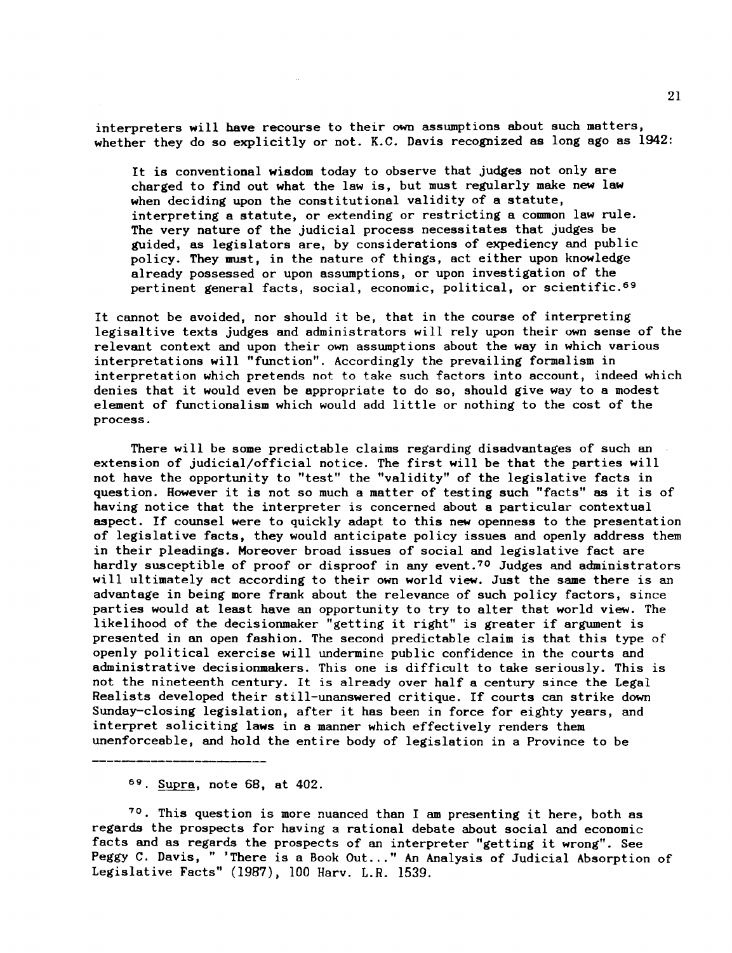interpreters will have recourse to their own assumptions about such matters, whether they do so explicitly or not. K.C. Davis recognized as long ago as 1942:

It is conventional wisdom today to observe that judges not only are charged to find out what the law is, but must regularly make new law when deciding upon the constitutional validity of a statute, interpreting a statute, or extending or restricting a common law rule. The very nature of the judicial process necessitates that judges be guided, as legislators are, by considerations of expediency and public policy. They must, in the nature of things, act either upon knowledge already possessed or upon assumptions, or upon investigation of the pertinent general facts, social, economic, political, or scientific. 69

It cannot be avoided, nor should it be, that in the course of interpreting legisaltive texts judges and administrators will rely upon their own sense of the relevant context and upon their own assumptions about the way in which various interpretations will "function". Accordingly the prevailing formalism in interpretation which pretends not to take such factors into account, indeed which denies that it would even be appropriate to do so, should give way to a modest element of functionalism which would add little or nothing to the cost of the process.

There will be some predictable claims regarding disadvantages of such an extension of judicial/official notice. The first will be that the parties will not have the opportunity to "test" the "validity" of the legislative facts in question. However it is not so much a matter of testing such "facts" as it is of having notice that the interpreter is concerned about a particular contextual aspect. If counsel were to quickly adapt to this new openness to the presentation of legislative facts, they would anticipate policy issues and openly address them in their pleadings. Moreover broad issues of social and legislative fact are hardly susceptible of proof or disproof in any event.<sup>70</sup> Judges and administrators will ultimately act according to their own world view. Just the same there is an advantage in being more frank about the relevance of such policy factors, since parties would at least have an opportunity to try to alter that world view. The likelihood of the decisionmaker "getting it right" is greater if argument is presented in an open fashion. The second predictable claim is that this type of openly political exercise will undermine public confidence in the courts and administrative decisionmakers. This one is difficult to take seriously. This is not the nineteenth century. It is already over half a century since the Legal Realists developed their still-unanswered critique. If courts can strike down Sunday-closing legislation, after it has been in force for eighty years, and interpret soliciting laws in a manner which effectively renders them unenforceable, and hold the entire body of legislation in a Province to be

 $69$ . Supra, note 68, at 402.

 $70$ . This question is more nuanced than I am presenting it here, both as regards the prospects for having a rational debate about social and economic facts and as regards the prospects of an interpreter "getting it wrong". See Peggy C. Davis, " 'There is a Book Out..." An Analysis of Judicial Absorption of Legislative Facts" (1987), 100 Harv. L.R. 1539.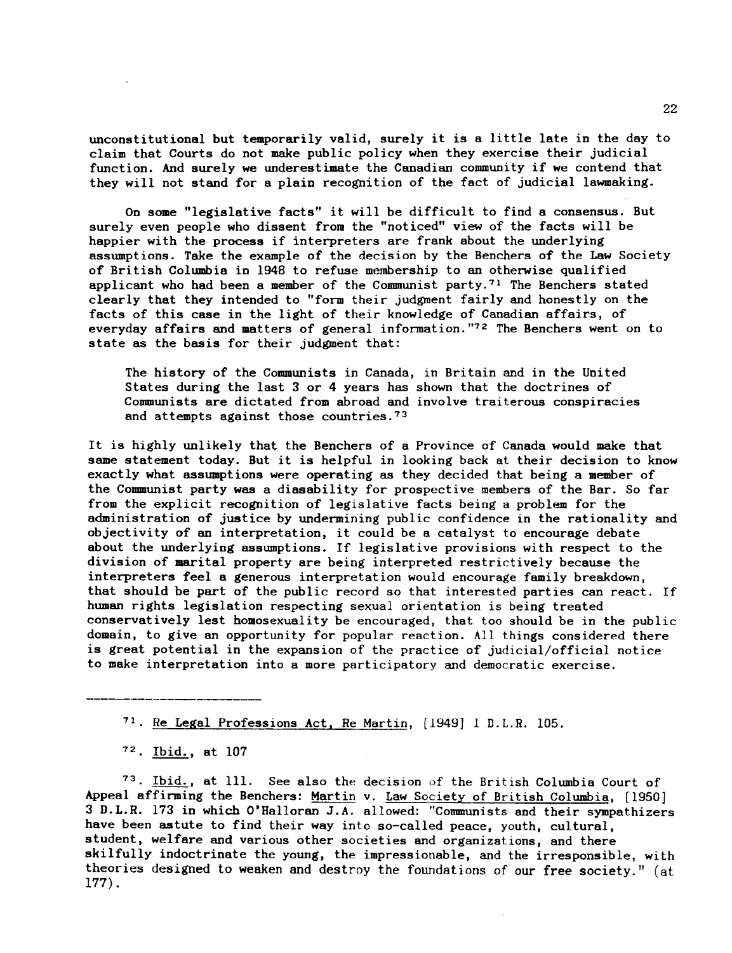unconstitutional but temporarily valid, surely it is a little late in the day to claim that Courts do not make public policy when they exercise their judicial function. And surely we underestimate the Canadian community if we contend that they will not stand for a plain recognition of the fact of judicial lawmaking.

On some "legislative facts" it will be difficult to find a consensus. But surely even people who dissent from the "noticed" view of the facts will be happier with the process if interpreters are frank about the underlying assumptions. Take the example of the decision by the Benchers of the Law Society of British Columbia in 1948 to refuse membership to an otherwise qualified applicant who had been a member of the Communist party.71 The Benchers stated clearly that they intended to "form their judgment fairly and honestly on the facts of this case in the light of their knowledge of Canadian affairs, of everyday affairs and matters of general information."72 The Benchers went on to state as the basis for their judgment that:

The history of the Communists in Canada, in Britain and in the United States during the last 3 or 4 years has shown that the doctrines of Communists are dictated from abroad and involve traiterous conspiracies and attempts against those countries. 73

It is highly unlikely that the Benchers of a Province of Canada would make that same statement today. But it is helpful in looking back at their decision to know exactly what assumptions were operating as they decided that being a member of the Communist party was a diasability for prospective members of the Bar. So far from the explicit recognition of legislative facts being a problem for the administration of justice by undermining public confidence in the rationality and objectivity of an interpretation, it could be a catalyst to encourage debate about the underlying assumptions. If legislative provisions with respect to the division of marital property are being interpreted restrictively because the interpreters feel a generous interpretation would encourage family breakdown, that should be part of the public record so that interested parties can react. If human rights legislation respecting sexual orientation is being treated conservatively lest homosexuality be encouraged, that too should be in the public domain, to give an opportunity for popular reaction. All things considered there is great potential in the expansion of the practice of judicial/official notice to make interpretation into a more participatory and democratic exercise.

71 Re Legal Professions Act. Re Martin, [1949] 1 D.L.R. 105.

 $72.$  Ibid., at 107

73 Ibid., at Ill. See also the decision of the British Columbia Court of Appeal affirming the Benchers: Martin v. Law Society of British Columbia, [1950] 3 D.L.R. 173 in which O'Halloran J.A. allowed: "Communists and their sympathizers have been astute to find their way into so-called peace, youth, cultural, student, welfare and various other societies and organizations, and there skilfully indoctrinate the young, the impressionable, and the irresponsible, with theories designed to weaken and destroy the foundations of our free society." (at 177).